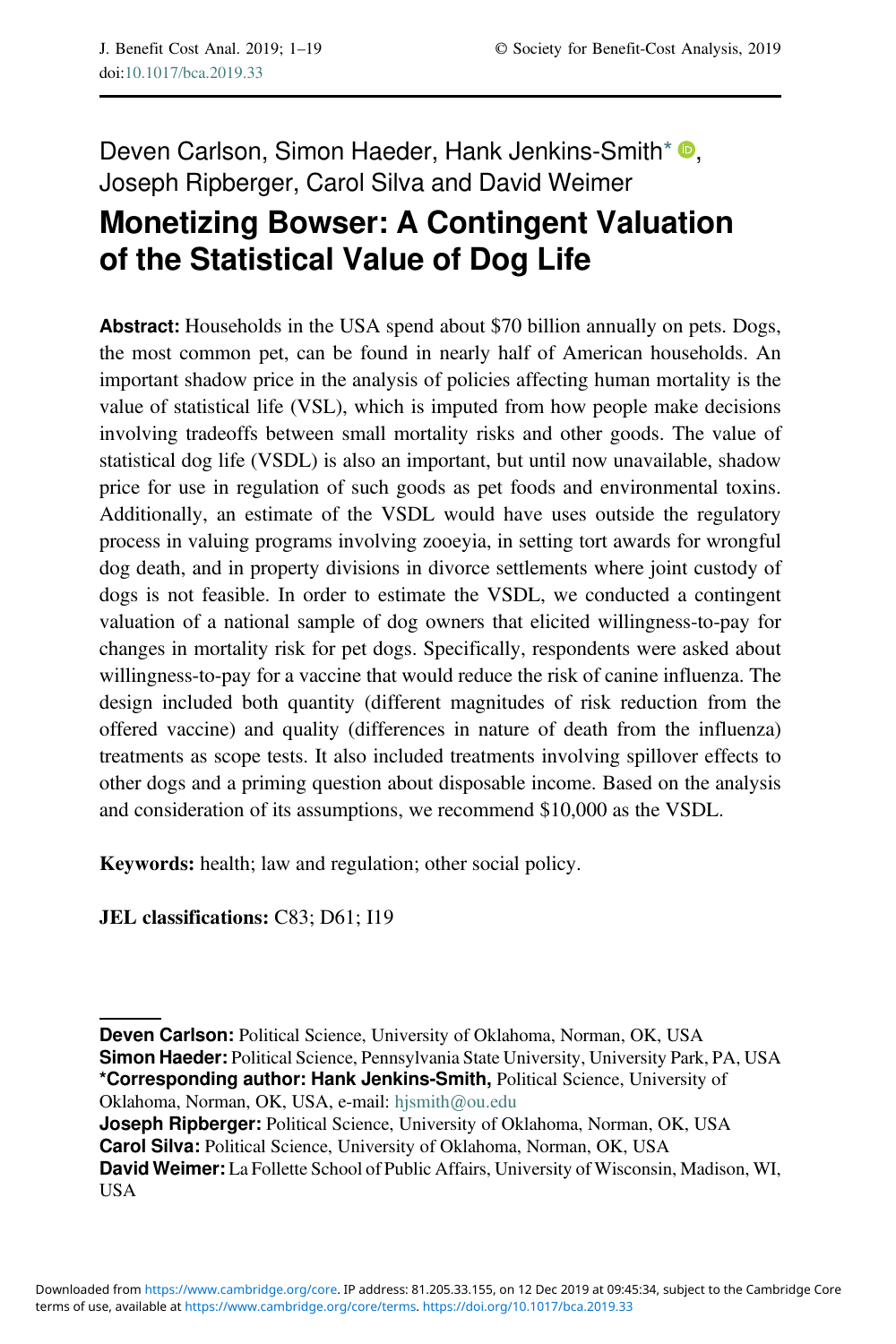#### Deven Carlson, Simon Haeder, Hank Jenkins-Smith\* <sup>®</sup>, Joseph Ripberger, Carol Silva and David Weimer

# Monetizing Bowser: A Contingent Valuation of the Statistical Value of Dog Life

Abstract: Households in the USA spend about \$70 billion annually on pets. Dogs, the most common pet, can be found in nearly half of American households. An important shadow price in the analysis of policies affecting human mortality is the value of statistical life (VSL), which is imputed from how people make decisions involving tradeoffs between small mortality risks and other goods. The value of statistical dog life (VSDL) is also an important, but until now unavailable, shadow price for use in regulation of such goods as pet foods and environmental toxins. Additionally, an estimate of the VSDL would have uses outside the regulatory process in valuing programs involving zooeyia, in setting tort awards for wrongful dog death, and in property divisions in divorce settlements where joint custody of dogs is not feasible. In order to estimate the VSDL, we conducted a contingent valuation of a national sample of dog owners that elicited willingness-to-pay for changes in mortality risk for pet dogs. Specifically, respondents were asked about willingness-to-pay for a vaccine that would reduce the risk of canine influenza. The design included both quantity (different magnitudes of risk reduction from the offered vaccine) and quality (differences in nature of death from the influenza) treatments as scope tests. It also included treatments involving spillover effects to other dogs and a priming question about disposable income. Based on the analysis and consideration of its assumptions, we recommend \$10,000 as the VSDL.

Keywords: health; law and regulation; other social policy.

JEL classifications: C83; D61; I19

Deven Carlson: Political Science, University of Oklahoma, Norman, OK, USA Simon Haeder: Political Science, Pennsylvania State University, University Park, PA, USA \*Corresponding author: Hank Jenkins-Smith, Political Science, University of Oklahoma, Norman, OK, USA, e-mail: [hjsmith@ou.edu](mailto:hjsmith@ou.edu) Joseph Ripberger: Political Science, University of Oklahoma, Norman, OK, USA Carol Silva: Political Science, University of Oklahoma, Norman, OK, USA David Weimer: La Follette School of Public Affairs, University of Wisconsin, Madison, WI, USA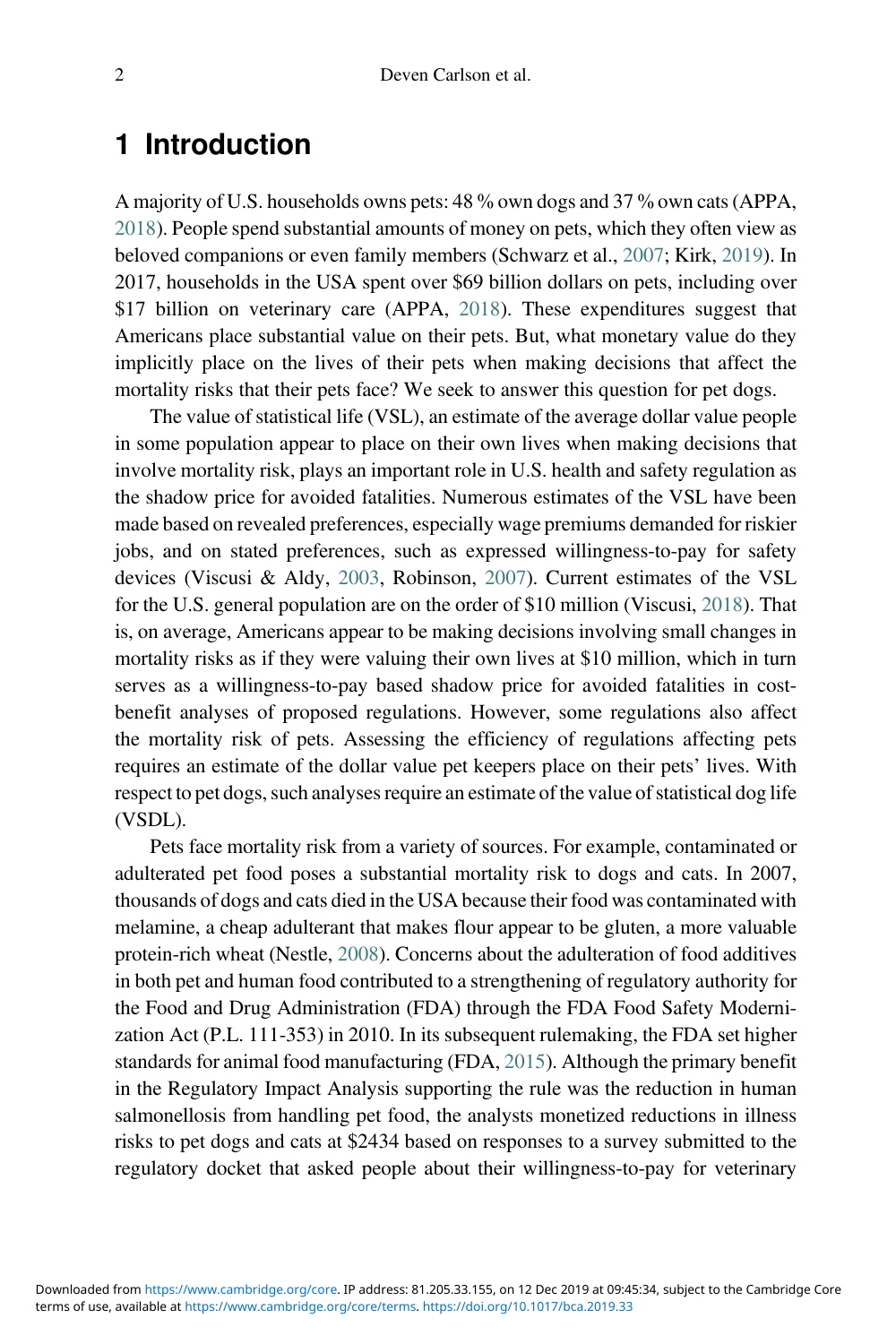## 1 Introduction

A majority of U.S. households owns pets: 48 % own dogs and 37 % own cats (APPA, [2018](#page-17-0)). People spend substantial amounts of money on pets, which they often view as beloved companions or even family members (Schwarz et al., [2007](#page-18-0); Kirk, [2019\)](#page-18-1). In 2017, households in the USA spent over \$69 billion dollars on pets, including over \$17 billion on veterinary care (APPA, [2018](#page-17-0)). These expenditures suggest that Americans place substantial value on their pets. But, what monetary value do they implicitly place on the lives of their pets when making decisions that affect the mortality risks that their pets face? We seek to answer this question for pet dogs.

The value of statistical life (VSL), an estimate of the average dollar value people in some population appear to place on their own lives when making decisions that involve mortality risk, plays an important role in U.S. health and safety regulation as the shadow price for avoided fatalities. Numerous estimates of the VSL have been made based on revealed preferences, especially wage premiums demanded for riskier jobs, and on stated preferences, such as expressed willingness-to-pay for safety devices (Viscusi & Aldy, [2003](#page-18-2), Robinson, [2007\)](#page-18-3). Current estimates of the VSL for the U.S. general population are on the order of \$10 million (Viscusi, [2018](#page-18-4)). That is, on average, Americans appear to be making decisions involving small changes in mortality risks as if they were valuing their own lives at \$10 million, which in turn serves as a willingness-to-pay based shadow price for avoided fatalities in costbenefit analyses of proposed regulations. However, some regulations also affect the mortality risk of pets. Assessing the efficiency of regulations affecting pets requires an estimate of the dollar value pet keepers place on their pets' lives. With respect to pet dogs, such analyses require an estimate of the value of statistical dog life (VSDL).

Pets face mortality risk from a variety of sources. For example, contaminated or adulterated pet food poses a substantial mortality risk to dogs and cats. In 2007, thousands of dogs and cats died in the USA because their food was contaminated with melamine, a cheap adulterant that makes flour appear to be gluten, a more valuable protein-rich wheat (Nestle, [2008\)](#page-18-5). Concerns about the adulteration of food additives in both pet and human food contributed to a strengthening of regulatory authority for the Food and Drug Administration (FDA) through the FDA Food Safety Modernization Act (P.L. 111-353) in 2010. In its subsequent rulemaking, the FDA set higher standards for animal food manufacturing (FDA, [2015](#page-18-6)). Although the primary benefit in the Regulatory Impact Analysis supporting the rule was the reduction in human salmonellosis from handling pet food, the analysts monetized reductions in illness risks to pet dogs and cats at \$2434 based on responses to a survey submitted to the regulatory docket that asked people about their willingness-to-pay for veterinary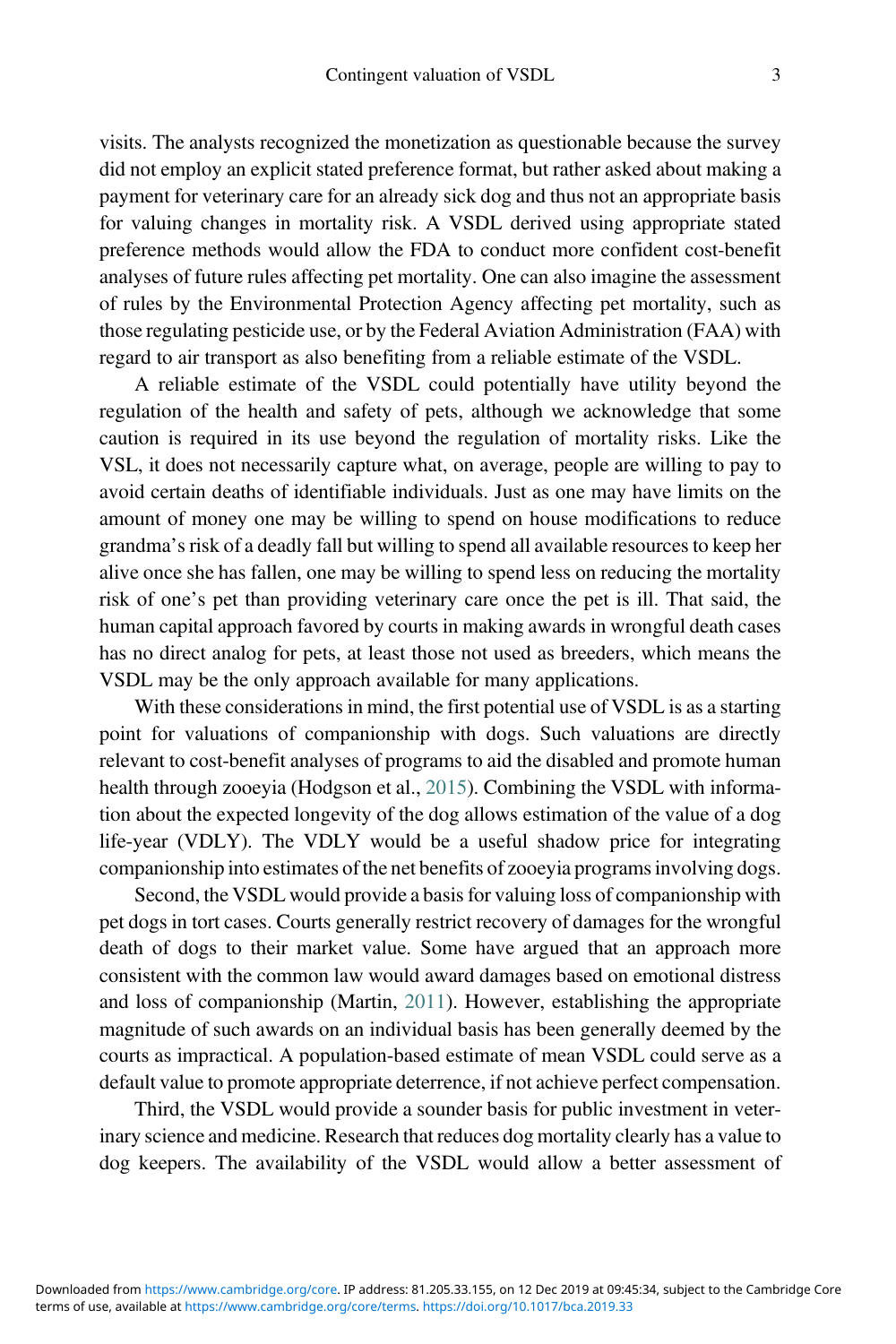visits. The analysts recognized the monetization as questionable because the survey did not employ an explicit stated preference format, but rather asked about making a payment for veterinary care for an already sick dog and thus not an appropriate basis for valuing changes in mortality risk. A VSDL derived using appropriate stated preference methods would allow the FDA to conduct more confident cost-benefit analyses of future rules affecting pet mortality. One can also imagine the assessment of rules by the Environmental Protection Agency affecting pet mortality, such as those regulating pesticide use, or by the Federal Aviation Administration (FAA) with regard to air transport as also benefiting from a reliable estimate of the VSDL.

A reliable estimate of the VSDL could potentially have utility beyond the regulation of the health and safety of pets, although we acknowledge that some caution is required in its use beyond the regulation of mortality risks. Like the VSL, it does not necessarily capture what, on average, people are willing to pay to avoid certain deaths of identifiable individuals. Just as one may have limits on the amount of money one may be willing to spend on house modifications to reduce grandma's risk of a deadly fall but willing to spend all available resources to keep her alive once she has fallen, one may be willing to spend less on reducing the mortality risk of one's pet than providing veterinary care once the pet is ill. That said, the human capital approach favored by courts in making awards in wrongful death cases has no direct analog for pets, at least those not used as breeders, which means the VSDL may be the only approach available for many applications.

With these considerations in mind, the first potential use of VSDL is as a starting point for valuations of companionship with dogs. Such valuations are directly relevant to cost-benefit analyses of programs to aid the disabled and promote human health through zooeyia (Hodgson et al., [2015](#page-18-7)). Combining the VSDL with information about the expected longevity of the dog allows estimation of the value of a dog life-year (VDLY). The VDLY would be a useful shadow price for integrating companionship into estimates of the net benefits of zooeyia programs involving dogs.

Second, the VSDL would provide a basis for valuing loss of companionship with pet dogs in tort cases. Courts generally restrict recovery of damages for the wrongful death of dogs to their market value. Some have argued that an approach more consistent with the common law would award damages based on emotional distress and loss of companionship (Martin, [2011](#page-18-8)). However, establishing the appropriate magnitude of such awards on an individual basis has been generally deemed by the courts as impractical. A population-based estimate of mean VSDL could serve as a default value to promote appropriate deterrence, if not achieve perfect compensation.

Third, the VSDL would provide a sounder basis for public investment in veterinary science and medicine. Research that reduces dog mortality clearly has a value to dog keepers. The availability of the VSDL would allow a better assessment of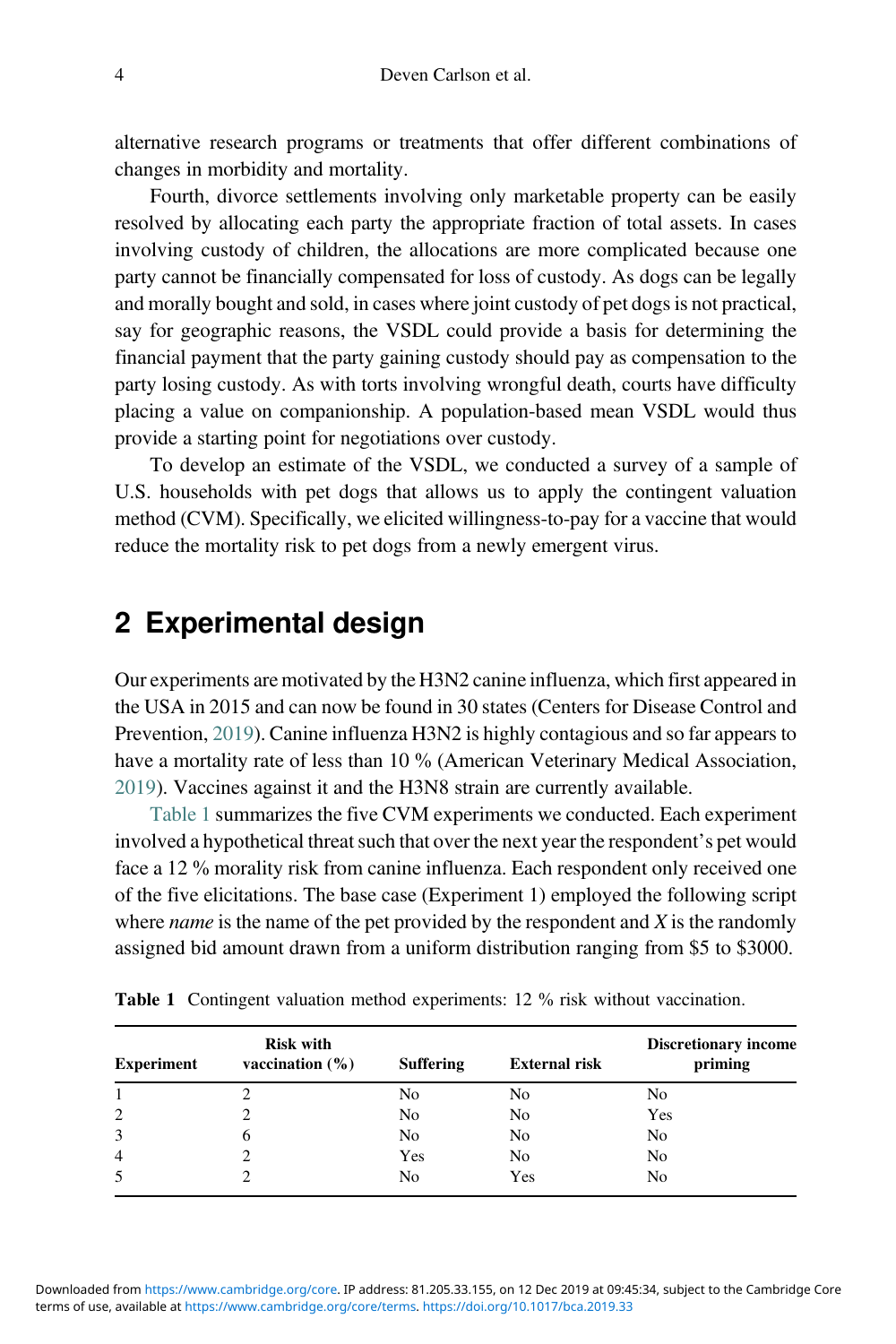alternative research programs or treatments that offer different combinations of changes in morbidity and mortality.

Fourth, divorce settlements involving only marketable property can be easily resolved by allocating each party the appropriate fraction of total assets. In cases involving custody of children, the allocations are more complicated because one party cannot be financially compensated for loss of custody. As dogs can be legally and morally bought and sold, in cases where joint custody of pet dogs is not practical, say for geographic reasons, the VSDL could provide a basis for determining the financial payment that the party gaining custody should pay as compensation to the party losing custody. As with torts involving wrongful death, courts have difficulty placing a value on companionship. A population-based mean VSDL would thus provide a starting point for negotiations over custody.

To develop an estimate of the VSDL, we conducted a survey of a sample of U.S. households with pet dogs that allows us to apply the contingent valuation method (CVM). Specifically, we elicited willingness-to-pay for a vaccine that would reduce the mortality risk to pet dogs from a newly emergent virus.

#### 2 Experimental design

Our experiments are motivated by the H3N2 canine influenza, which first appeared in the USA in 2015 and can now be found in 30 states (Centers for Disease Control and Prevention, [2019](#page-17-1)). Canine influenza H3N2 is highly contagious and so far appears to have a mortality rate of less than 10 % (American Veterinary Medical Association, [2019](#page-17-2)). Vaccines against it and the H3N8 strain are currently available.

[Table 1](#page-3-0) summarizes the five CVM experiments we conducted. Each experiment involved a hypothetical threat such that over the next year the respondent's pet would face a 12 % morality risk from canine influenza. Each respondent only received one of the five elicitations. The base case (Experiment 1) employed the following script where *name* is the name of the pet provided by the respondent and  $X$  is the randomly assigned bid amount drawn from a uniform distribution ranging from \$5 to \$3000.

| <b>Experiment</b> | <b>Risk with</b><br>vaccination $(\% )$ | <b>Suffering</b> | <b>External risk</b> | <b>Discretionary income</b><br>priming |
|-------------------|-----------------------------------------|------------------|----------------------|----------------------------------------|
|                   |                                         | No               | No                   | No                                     |
| $\overline{2}$    |                                         | N <sub>0</sub>   | No                   | Yes                                    |
| 3                 | 6                                       | N <sub>0</sub>   | N <sub>0</sub>       | No                                     |
| $\overline{4}$    |                                         | Yes              | N <sub>0</sub>       | No                                     |
| 5                 |                                         | N <sub>0</sub>   | Yes                  | No                                     |

<span id="page-3-0"></span>Table 1 Contingent valuation method experiments: 12 % risk without vaccination.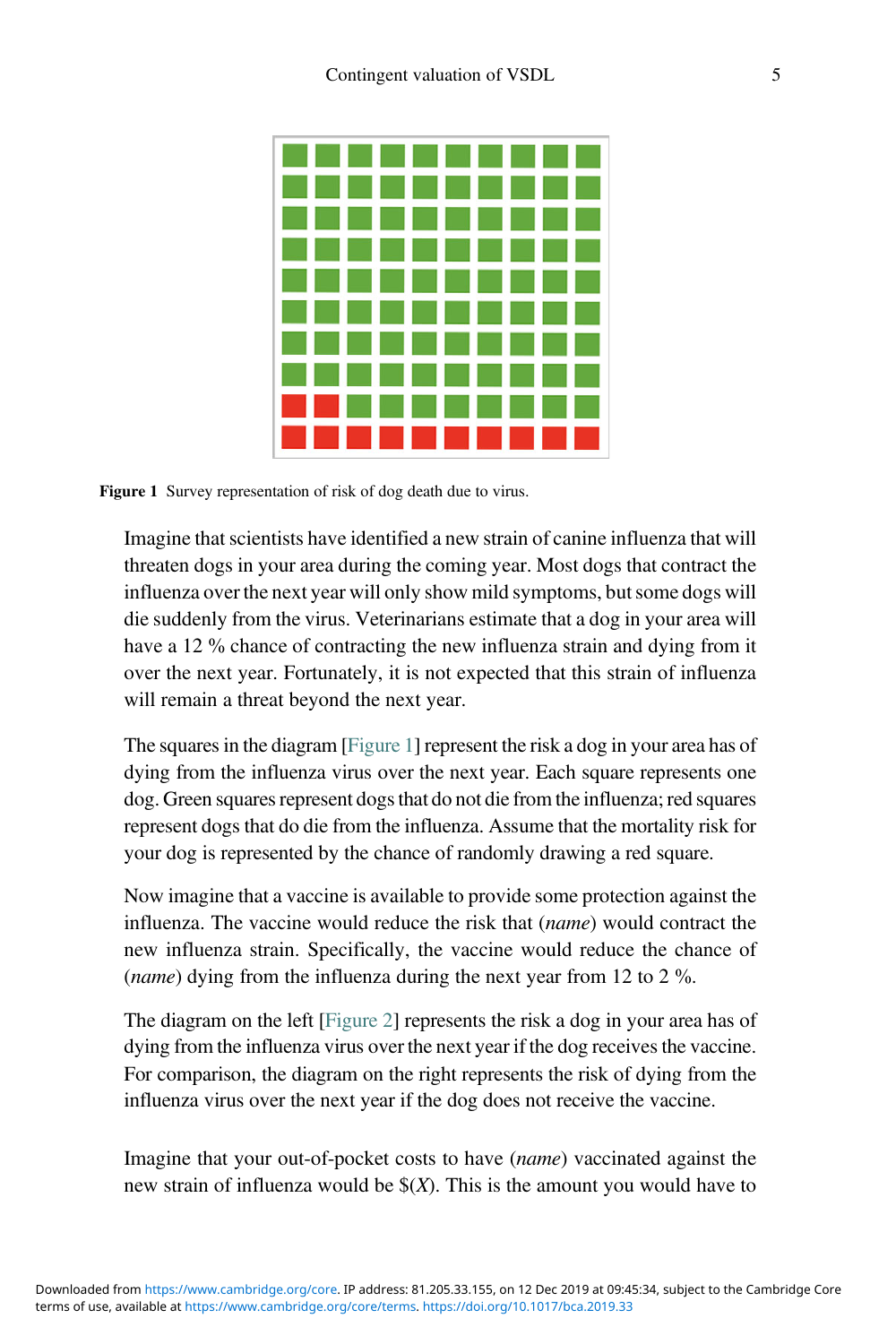<span id="page-4-0"></span>

Figure 1 Survey representation of risk of dog death due to virus.

Imagine that scientists have identified a new strain of canine influenza that will threaten dogs in your area during the coming year. Most dogs that contract the influenza over the next year will only show mild symptoms, but some dogs will die suddenly from the virus. Veterinarians estimate that a dog in your area will have a 12 % chance of contracting the new influenza strain and dying from it over the next year. Fortunately, it is not expected that this strain of influenza will remain a threat beyond the next year.

The squares in the diagram [[Figure 1\]](#page-4-0) represent the risk a dog in your area has of dying from the influenza virus over the next year. Each square represents one dog. Green squares represent dogs that do not die from the influenza; red squares represent dogs that do die from the influenza. Assume that the mortality risk for your dog is represented by the chance of randomly drawing a red square.

Now imagine that a vaccine is available to provide some protection against the influenza. The vaccine would reduce the risk that (name) would contract the new influenza strain. Specifically, the vaccine would reduce the chance of (name) dying from the influenza during the next year from 12 to 2 %.

The diagram on the left [[Figure 2](#page-5-0)] represents the risk a dog in your area has of dying from the influenza virus over the next year if the dog receives the vaccine. For comparison, the diagram on the right represents the risk of dying from the influenza virus over the next year if the dog does not receive the vaccine.

Imagine that your out-of-pocket costs to have (name) vaccinated against the new strain of influenza would be  $\$(X)$ . This is the amount you would have to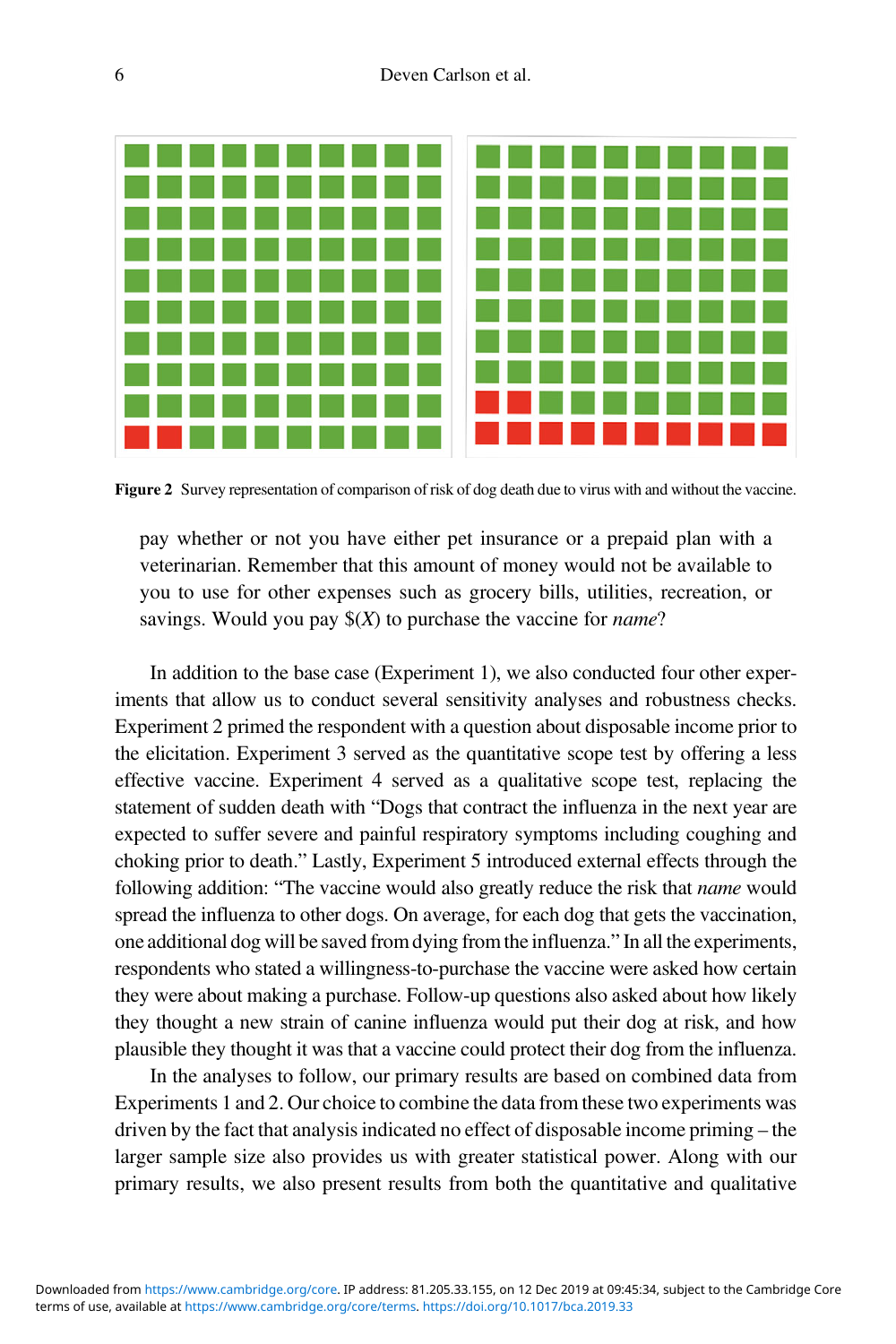<span id="page-5-0"></span>

Figure 2 Survey representation of comparison of risk of dog death due to virus with and without the vaccine.

pay whether or not you have either pet insurance or a prepaid plan with a veterinarian. Remember that this amount of money would not be available to you to use for other expenses such as grocery bills, utilities, recreation, or savings. Would you pay  $\mathcal{S}(X)$  to purchase the vaccine for *name*?

In addition to the base case (Experiment 1), we also conducted four other experiments that allow us to conduct several sensitivity analyses and robustness checks. Experiment 2 primed the respondent with a question about disposable income prior to the elicitation. Experiment 3 served as the quantitative scope test by offering a less effective vaccine. Experiment 4 served as a qualitative scope test, replacing the statement of sudden death with "Dogs that contract the influenza in the next year are expected to suffer severe and painful respiratory symptoms including coughing and choking prior to death." Lastly, Experiment 5 introduced external effects through the following addition: "The vaccine would also greatly reduce the risk that name would spread the influenza to other dogs. On average, for each dog that gets the vaccination, one additional dog will be saved from dying from the influenza." In all the experiments, respondents who stated a willingness-to-purchase the vaccine were asked how certain they were about making a purchase. Follow-up questions also asked about how likely they thought a new strain of canine influenza would put their dog at risk, and how plausible they thought it was that a vaccine could protect their dog from the influenza.

In the analyses to follow, our primary results are based on combined data from Experiments 1 and 2. Our choice to combine the data from these two experiments was driven by the fact that analysis indicated no effect of disposable income priming – the larger sample size also provides us with greater statistical power. Along with our primary results, we also present results from both the quantitative and qualitative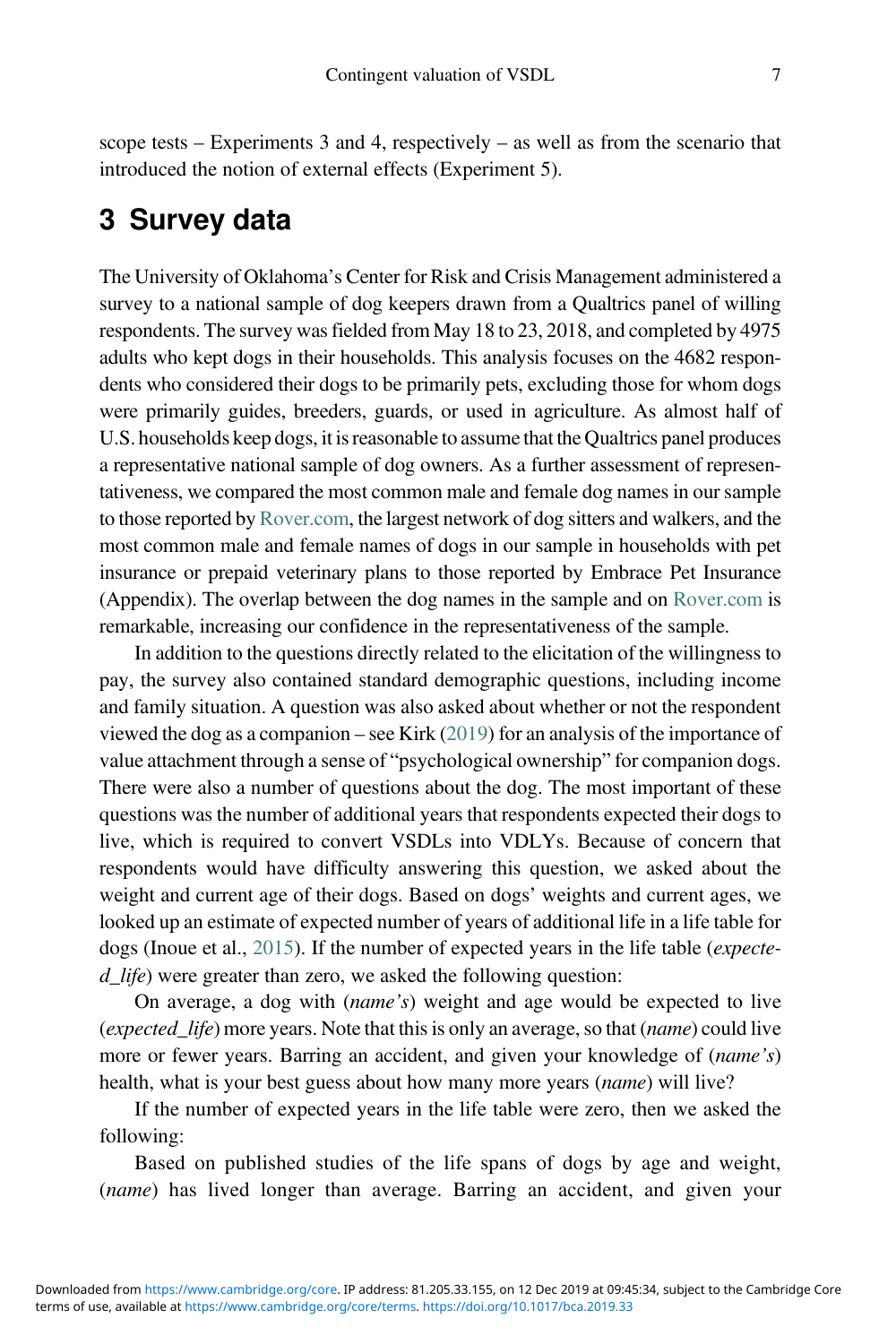scope tests – Experiments 3 and 4, respectively – as well as from the scenario that introduced the notion of external effects (Experiment 5).

### 3 Survey data

The University of Oklahoma's Center for Risk and Crisis Management administered a survey to a national sample of dog keepers drawn from a Qualtrics panel of willing respondents. The survey was fielded from May 18 to 23, 2018, and completed by 4975 adults who kept dogs in their households. This analysis focuses on the 4682 respondents who considered their dogs to be primarily pets, excluding those for whom dogs were primarily guides, breeders, guards, or used in agriculture. As almost half of U.S. households keep dogs, it is reasonable to assume that the Qualtrics panel produces a representative national sample of dog owners. As a further assessment of representativeness, we compared the most common male and female dog names in our sample to those reported by [Rover.com](https://www.rover.com/), the largest network of dog sitters and walkers, and the most common male and female names of dogs in our sample in households with pet insurance or prepaid veterinary plans to those reported by Embrace Pet Insurance (Appendix). The overlap between the dog names in the sample and on [Rover.com](https://www.rover.com/) is remarkable, increasing our confidence in the representativeness of the sample.

In addition to the questions directly related to the elicitation of the willingness to pay, the survey also contained standard demographic questions, including income and family situation. A question was also asked about whether or not the respondent viewed the dog as a companion – see Kirk [\(2019](#page-18-1)) for an analysis of the importance of value attachment through a sense of "psychological ownership" for companion dogs. There were also a number of questions about the dog. The most important of these questions was the number of additional years that respondents expected their dogs to live, which is required to convert VSDLs into VDLYs. Because of concern that respondents would have difficulty answering this question, we asked about the weight and current age of their dogs. Based on dogs' weights and current ages, we looked up an estimate of expected number of years of additional life in a life table for dogs (Inoue et al., [2015\)](#page-18-9). If the number of expected years in the life table (expecte $d$ <sub>life</sub>) were greater than zero, we asked the following question:

On average, a dog with (name's) weight and age would be expected to live (expected\_life) more years. Note that this is only an average, so that (name) could live more or fewer years. Barring an accident, and given your knowledge of (name's) health, what is your best guess about how many more years (name) will live?

If the number of expected years in the life table were zero, then we asked the following:

Based on published studies of the life spans of dogs by age and weight, (name) has lived longer than average. Barring an accident, and given your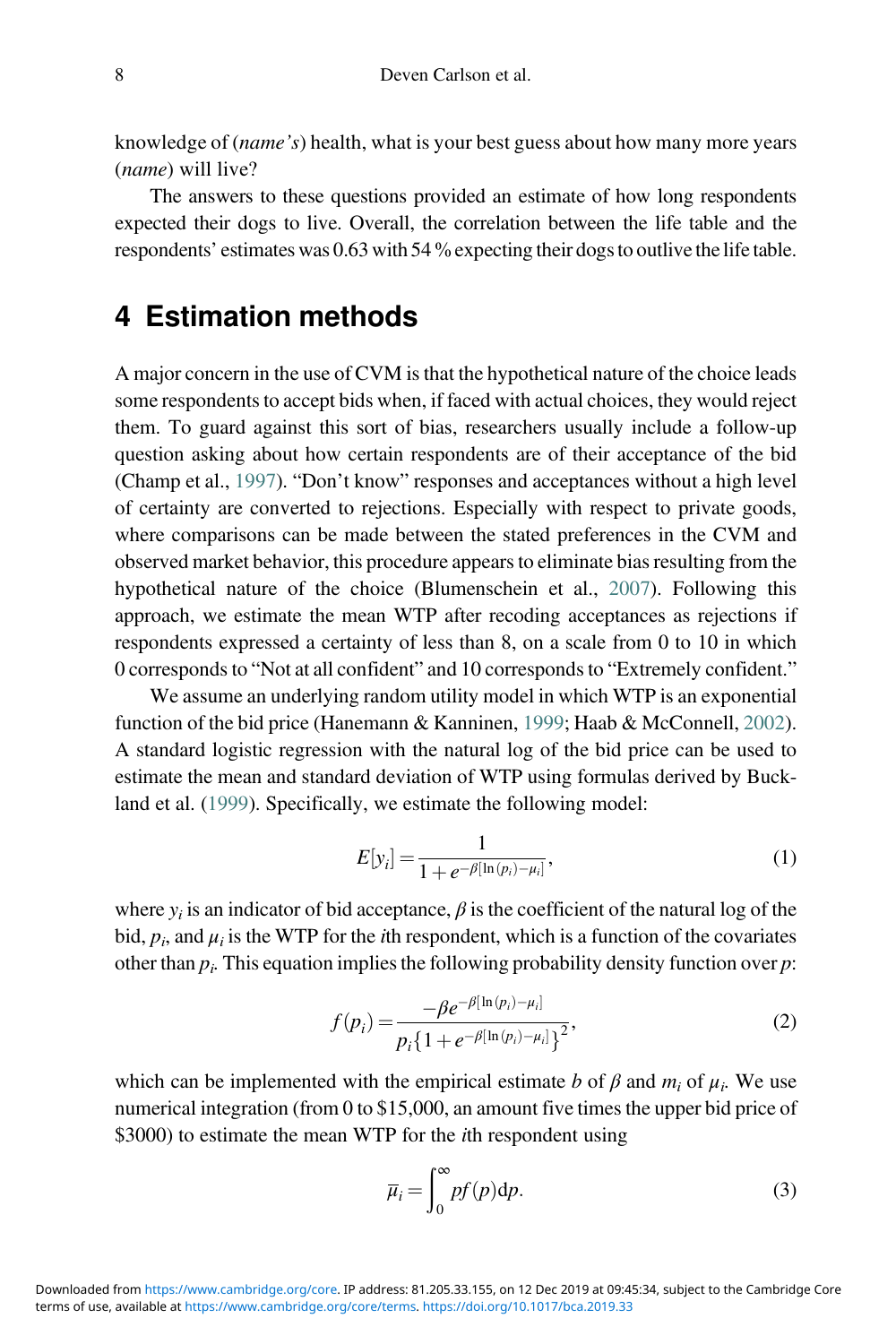knowledge of (name's) health, what is your best guess about how many more years (name) will live?

The answers to these questions provided an estimate of how long respondents expected their dogs to live. Overall, the correlation between the life table and the respondents' estimates was 0.63 with 54 % expecting their dogs to outlive the life table.

## 4 Estimation methods

A major concern in the use of CVM is that the hypothetical nature of the choice leads some respondents to accept bids when, if faced with actual choices, they would reject them. To guard against this sort of bias, researchers usually include a follow-up question asking about how certain respondents are of their acceptance of the bid (Champ et al., [1997](#page-17-3)). "Don't know" responses and acceptances without a high level of certainty are converted to rejections. Especially with respect to private goods, where comparisons can be made between the stated preferences in the CVM and observed market behavior, this procedure appears to eliminate bias resulting from the hypothetical nature of the choice (Blumenschein et al., [2007\)](#page-17-4). Following this approach, we estimate the mean WTP after recoding acceptances as rejections if respondents expressed a certainty of less than 8, on a scale from 0 to 10 in which 0 corresponds to "Not at all confident" and 10 corresponds to "Extremely confident."

We assume an underlying random utility model in which WTP is an exponential function of the bid price (Hanemann & Kanninen, [1999](#page-18-10); Haab & McConnell, [2002](#page-18-11)). A standard logistic regression with the natural log of the bid price can be used to estimate the mean and standard deviation of WTP using formulas derived by Buckland et al. ([1999\)](#page-17-5). Specifically, we estimate the following model:

$$
E[y_i] = \frac{1}{1 + e^{-\beta[\ln(p_i) - \mu_i]}},
$$
\n(1)

where  $y_i$  is an indicator of bid acceptance,  $\beta$  is the coefficient of the natural log of the bid,  $p_i$ , and  $\mu_i$  is the WTP for the *i*th respondent, which is a function of the covariates other than  $p_i$ . This equation implies the following probability density function over p:

$$
f(p_i) = \frac{-\beta e^{-\beta[\ln(p_i) - \mu_i]}}{p_i \{1 + e^{-\beta[\ln(p_i) - \mu_i]}\}^2},\tag{2}
$$

which can be implemented with the empirical estimate b of  $\beta$  and  $m_i$  of  $\mu_i$ . We use numerical integration (from 0 to \$15,000, an amount five times the upper bid price of \$3000) to estimate the mean WTP for the ith respondent using

$$
\overline{\mu}_i = \int_0^\infty p f(p) \, \mathrm{d} p. \tag{3}
$$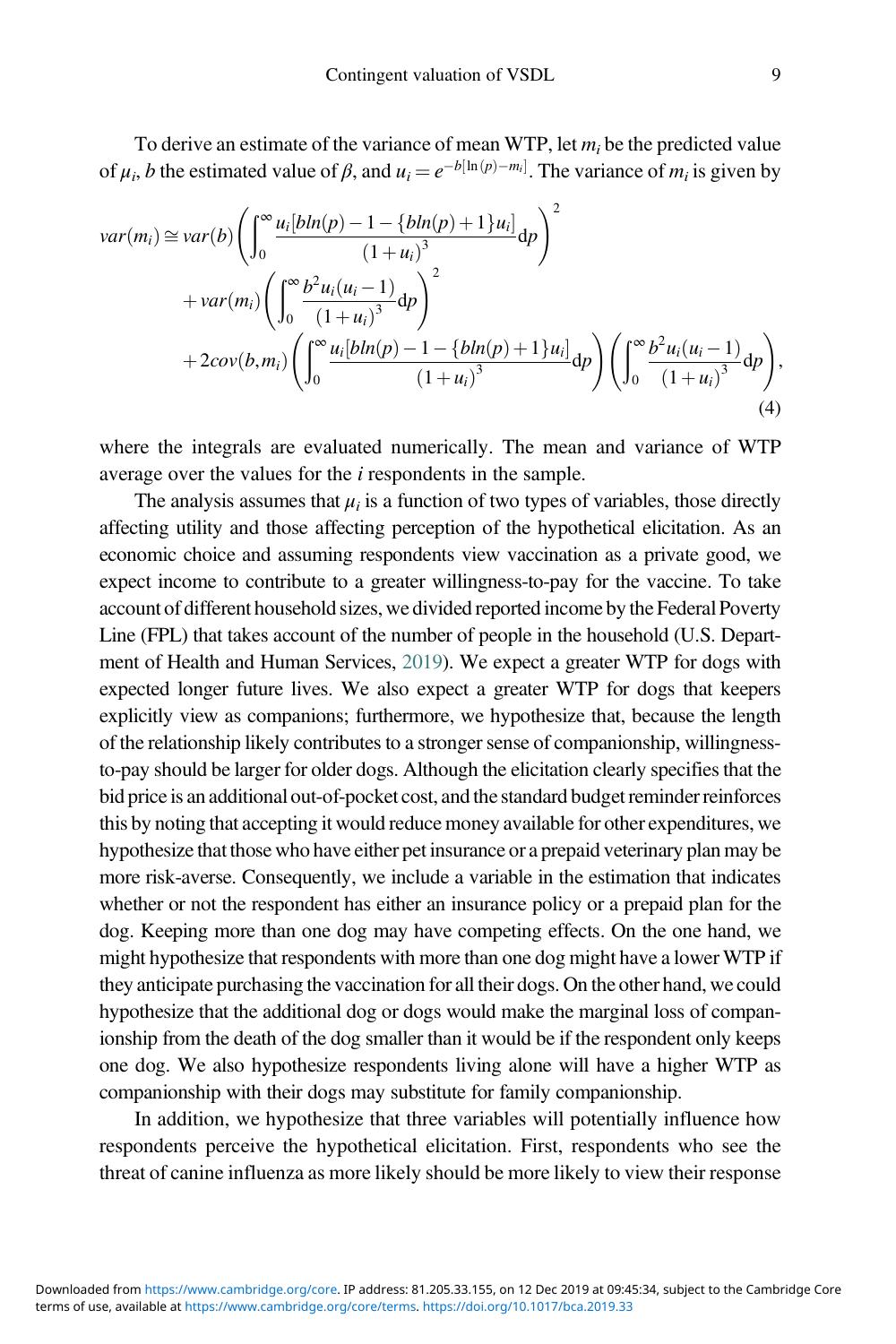To derive an estimate of the variance of mean WTP, let  $m_i$  be the predicted value of  $\mu_i$ , b the estimated value of  $\beta$ , and  $u_i = e^{-b[\ln(p) - m_i]}$ . The variance of  $m_i$  is given by

$$
var(m_i) \approx var(b) \left( \int_0^\infty \frac{u_i [bh(p) - 1 - \{bh(p) + 1\} u_i]}{(1 + u_i)^3} dp \right)^2 + var(m_i) \left( \int_0^\infty \frac{b^2 u_i (u_i - 1)}{(1 + u_i)^3} dp \right)^2 + 2cov(b, m_i) \left( \int_0^\infty \frac{u_i [bh(p) - 1 - \{bh(p) + 1\} u_i]}{(1 + u_i)^3} dp \right) \left( \int_0^\infty \frac{b^2 u_i (u_i - 1)}{(1 + u_i)^3} dp \right),
$$
\n(4)

where the integrals are evaluated numerically. The mean and variance of WTP average over the values for the i respondents in the sample.

The analysis assumes that  $\mu_i$  is a function of two types of variables, those directly affecting utility and those affecting perception of the hypothetical elicitation. As an economic choice and assuming respondents view vaccination as a private good, we expect income to contribute to a greater willingness-to-pay for the vaccine. To take account of different household sizes, we divided reported income by the Federal Poverty Line (FPL) that takes account of the number of people in the household (U.S. Department of Health and Human Services, [2019](#page-18-12)). We expect a greater WTP for dogs with expected longer future lives. We also expect a greater WTP for dogs that keepers explicitly view as companions; furthermore, we hypothesize that, because the length of the relationship likely contributes to a stronger sense of companionship, willingnessto-pay should be larger for older dogs. Although the elicitation clearly specifies that the bid price is an additional out-of-pocket cost, and the standard budget reminder reinforces this by noting that accepting it would reduce money available for other expenditures, we hypothesize that those who have either pet insurance or a prepaid veterinary plan may be more risk-averse. Consequently, we include a variable in the estimation that indicates whether or not the respondent has either an insurance policy or a prepaid plan for the dog. Keeping more than one dog may have competing effects. On the one hand, we might hypothesize that respondents with more than one dog might have a lower WTP if they anticipate purchasing the vaccination for all their dogs. On the other hand, we could hypothesize that the additional dog or dogs would make the marginal loss of companionship from the death of the dog smaller than it would be if the respondent only keeps one dog. We also hypothesize respondents living alone will have a higher WTP as companionship with their dogs may substitute for family companionship.

In addition, we hypothesize that three variables will potentially influence how respondents perceive the hypothetical elicitation. First, respondents who see the threat of canine influenza as more likely should be more likely to view their response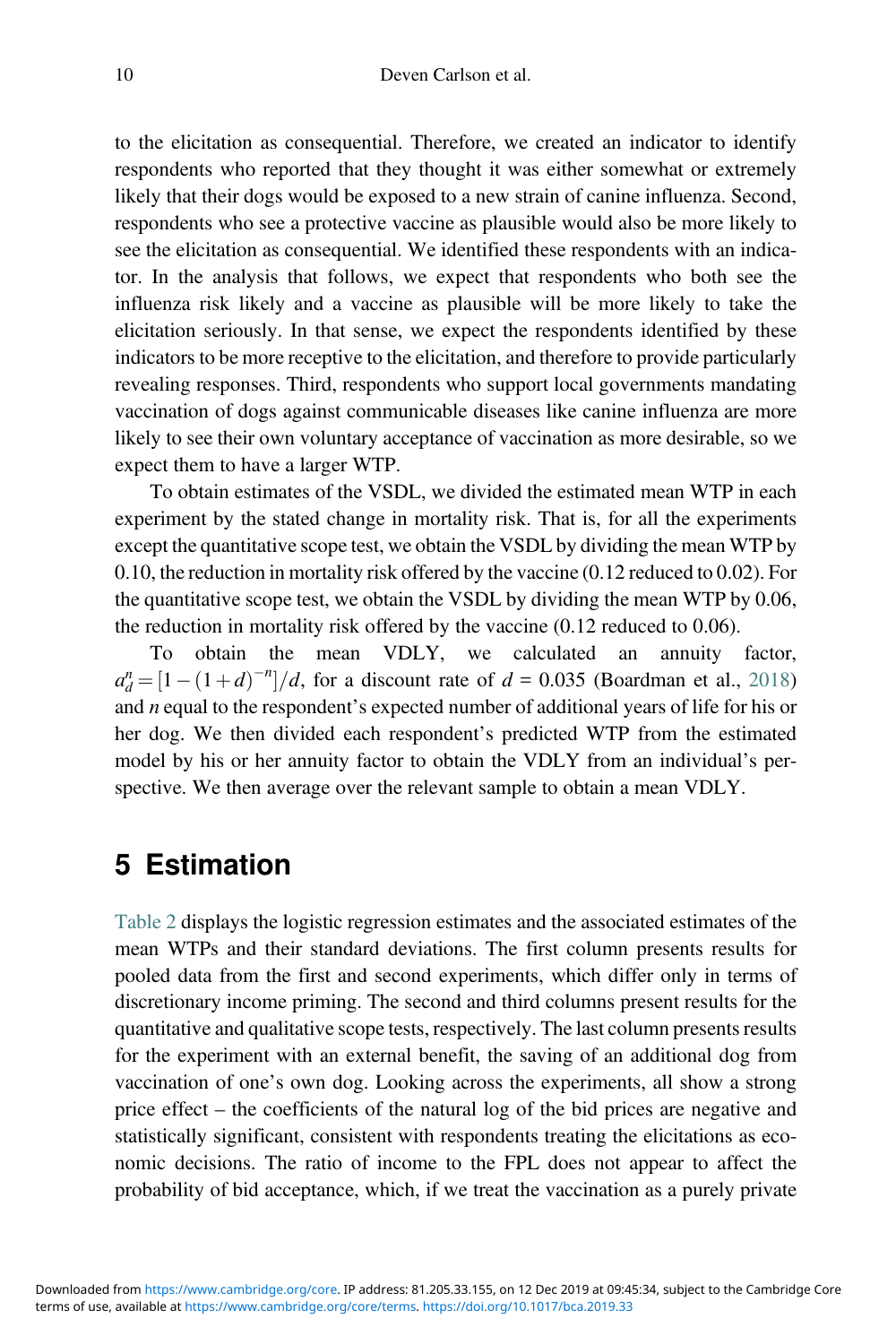to the elicitation as consequential. Therefore, we created an indicator to identify respondents who reported that they thought it was either somewhat or extremely likely that their dogs would be exposed to a new strain of canine influenza. Second, respondents who see a protective vaccine as plausible would also be more likely to see the elicitation as consequential. We identified these respondents with an indicator. In the analysis that follows, we expect that respondents who both see the influenza risk likely and a vaccine as plausible will be more likely to take the elicitation seriously. In that sense, we expect the respondents identified by these indicators to be more receptive to the elicitation, and therefore to provide particularly revealing responses. Third, respondents who support local governments mandating vaccination of dogs against communicable diseases like canine influenza are more likely to see their own voluntary acceptance of vaccination as more desirable, so we expect them to have a larger WTP.

To obtain estimates of the VSDL, we divided the estimated mean WTP in each experiment by the stated change in mortality risk. That is, for all the experiments except the quantitative scope test, we obtain the VSDL by dividing the mean WTP by 0.10, the reduction in mortality risk offered by the vaccine (0.12 reduced to 0.02). For the quantitative scope test, we obtain the VSDL by dividing the mean WTP by 0.06, the reduction in mortality risk offered by the vaccine (0.12 reduced to 0.06).

To obtain the mean VDLY, we calculated an annuity factor,  $a_d^n = [1 - (1 + d)^{-n}]/d$ , for a discount rate of  $d = 0.035$  (Boardman et al., [2018\)](#page-17-6) and n equal to the respondent's expected number of additional years of life for his or her dog. We then divided each respondent's predicted WTP from the estimated model by his or her annuity factor to obtain the VDLY from an individual's perspective. We then average over the relevant sample to obtain a mean VDLY.

#### 5 Estimation

[Table 2](#page-10-0) displays the logistic regression estimates and the associated estimates of the mean WTPs and their standard deviations. The first column presents results for pooled data from the first and second experiments, which differ only in terms of discretionary income priming. The second and third columns present results for the quantitative and qualitative scope tests, respectively. The last column presents results for the experiment with an external benefit, the saving of an additional dog from vaccination of one's own dog. Looking across the experiments, all show a strong price effect – the coefficients of the natural log of the bid prices are negative and statistically significant, consistent with respondents treating the elicitations as economic decisions. The ratio of income to the FPL does not appear to affect the probability of bid acceptance, which, if we treat the vaccination as a purely private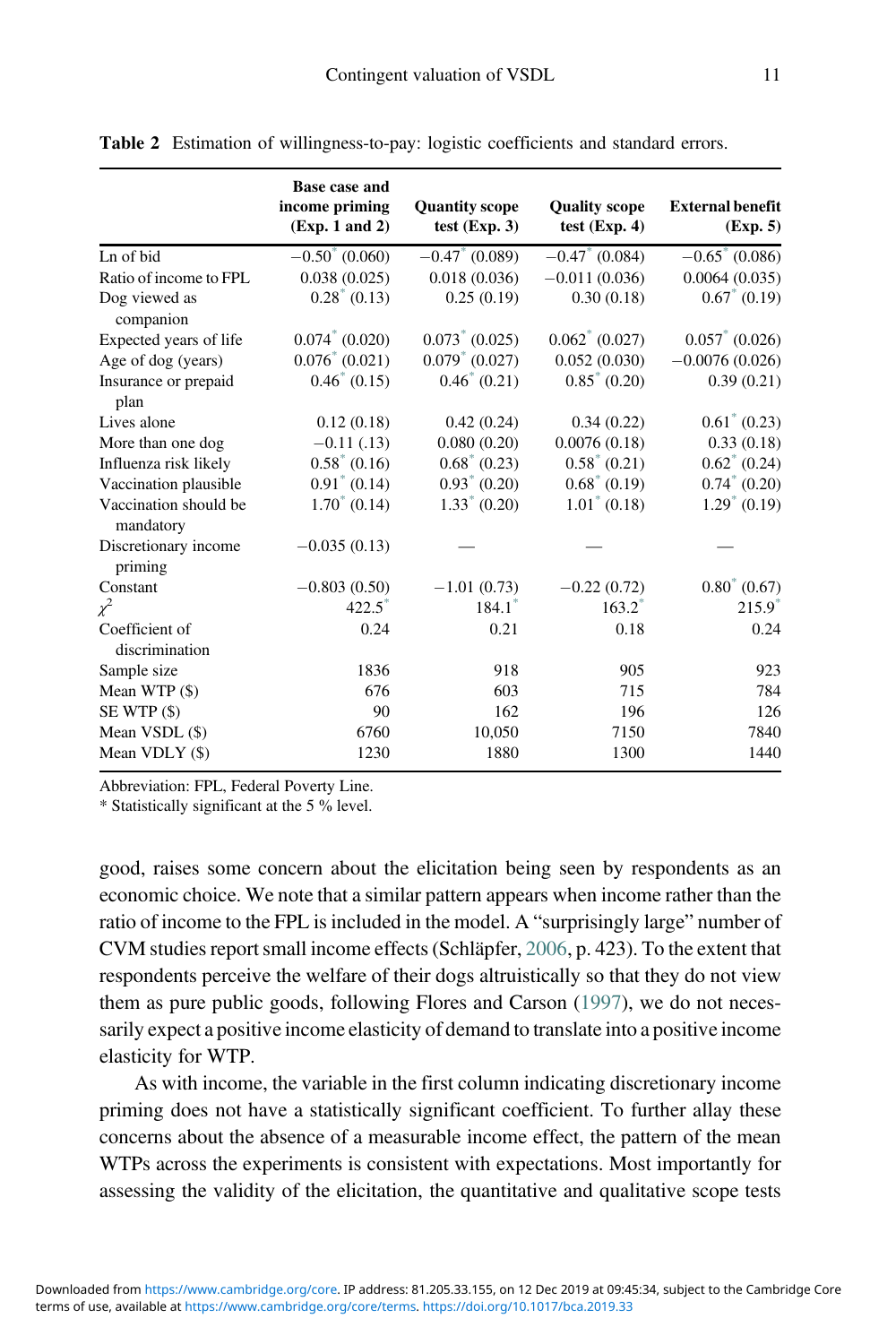|                                    | <b>Base case and</b><br>income priming<br>(Exp. 1 and 2) | <b>Quantity scope</b><br>test $(Exp. 3)$ | <b>Quality scope</b><br>test $(Exp. 4)$ | <b>External benefit</b><br>(Exp. 5) |
|------------------------------------|----------------------------------------------------------|------------------------------------------|-----------------------------------------|-------------------------------------|
| Ln of bid                          | $-0.50^{\circ}$ (0.060)                                  | $-0.47^{\degree}$ (0.089)                | $-0.47^*$ (0.084)                       | $-0.65^{\circ}$ (0.086)             |
| Ratio of income to FPL             | 0.038(0.025)                                             | 0.018(0.036)                             | $-0.011(0.036)$                         | 0.0064(0.035)                       |
| Dog viewed as<br>companion         | $0.28^* (0.13)$                                          | 0.25(0.19)                               | 0.30(0.18)                              | $0.67^* (0.19)$                     |
| Expected years of life             | $0.074$ $(0.020)$                                        | $0.073^* (0.025)$                        | $0.062^* (0.027)$                       | $0.057^* (0.026)$                   |
| Age of dog (years)                 | $0.076^* (0.021)$                                        | $0.079^* (0.027)$                        | 0.052(0.030)                            | $-0.0076(0.026)$                    |
| Insurance or prepaid<br>plan       | $0.46^{\degree}$ (0.15)                                  | $0.46^{\degree}$ (0.21)                  | $0.85^* (0.20)$                         | 0.39(0.21)                          |
| Lives alone                        | 0.12(0.18)                                               | 0.42(0.24)                               | 0.34(0.22)                              | $0.61^* (0.23)$                     |
| More than one dog                  | $-0.11(0.13)$                                            | 0.080(0.20)                              | 0.0076(0.18)                            | 0.33(0.18)                          |
| Influenza risk likely              | $0.58^* (0.16)$                                          | $0.68^* (0.23)$                          | $0.58^* (0.21)$                         | $0.62^* (0.24)$                     |
| Vaccination plausible              | $0.91^* (0.14)$                                          | $0.93^* (0.20)$                          | $0.68^* (0.19)$                         | $0.74^* (0.20)$                     |
| Vaccination should be<br>mandatory | $1.70^* (0.14)$                                          | $1.33^* (0.20)$                          | $1.01^* (0.18)$                         | $1.29^* (0.19)$                     |
| Discretionary income<br>priming    | $-0.035(0.13)$                                           |                                          |                                         |                                     |
| Constant                           | $-0.803(0.50)$                                           | $-1.01(0.73)$                            | $-0.22(0.72)$                           | $0.80^* (0.67)$                     |
| $\chi^2$                           | $422.5$ <sup>*</sup>                                     | $184.1*$                                 | $163.2^*$                               | $215.9*$                            |
| Coefficient of<br>discrimination   | 0.24                                                     | 0.21                                     | 0.18                                    | 0.24                                |
| Sample size                        | 1836                                                     | 918                                      | 905                                     | 923                                 |
| Mean WTP (\$)                      | 676                                                      | 603                                      | 715                                     | 784                                 |
| SE WTP (\$)                        | 90                                                       | 162                                      | 196                                     | 126                                 |
| Mean VSDL (\$)                     | 6760                                                     | 10,050                                   | 7150                                    | 7840                                |
| Mean VDLY (\$)                     | 1230                                                     | 1880                                     | 1300                                    | 1440                                |

<span id="page-10-0"></span>Table 2 Estimation of willingness-to-pay: logistic coefficients and standard errors.

<span id="page-10-1"></span>Abbreviation: FPL, Federal Poverty Line.

\* Statistically significant at the 5 % level.

good, raises some concern about the elicitation being seen by respondents as an economic choice. We note that a similar pattern appears when income rather than the ratio of income to the FPL is included in the model. A "surprisingly large" number of CVM studies report small income effects (Schläpfer, [2006](#page-18-13), p. 423). To the extent that respondents perceive the welfare of their dogs altruistically so that they do not view them as pure public goods, following Flores and Carson ([1997\)](#page-18-14), we do not necessarily expect a positive income elasticity of demand to translate into a positive income elasticity for WTP.

As with income, the variable in the first column indicating discretionary income priming does not have a statistically significant coefficient. To further allay these concerns about the absence of a measurable income effect, the pattern of the mean WTPs across the experiments is consistent with expectations. Most importantly for assessing the validity of the elicitation, the quantitative and qualitative scope tests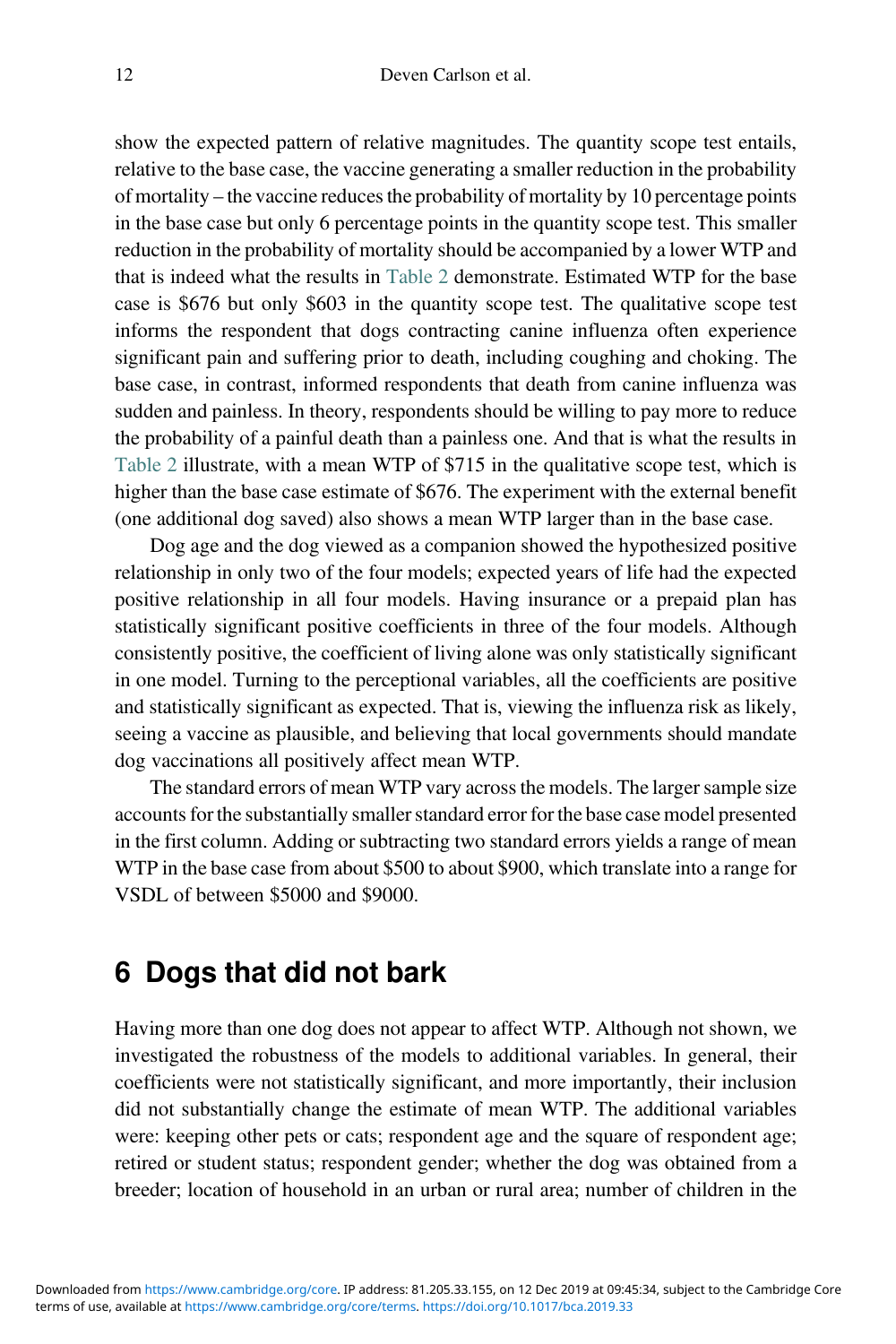show the expected pattern of relative magnitudes. The quantity scope test entails, relative to the base case, the vaccine generating a smaller reduction in the probability of mortality – the vaccine reduces the probability of mortality by 10 percentage points in the base case but only 6 percentage points in the quantity scope test. This smaller reduction in the probability of mortality should be accompanied by a lower WTP and that is indeed what the results in [Table 2](#page-10-0) demonstrate. Estimated WTP for the base case is \$676 but only \$603 in the quantity scope test. The qualitative scope test informs the respondent that dogs contracting canine influenza often experience significant pain and suffering prior to death, including coughing and choking. The base case, in contrast, informed respondents that death from canine influenza was sudden and painless. In theory, respondents should be willing to pay more to reduce the probability of a painful death than a painless one. And that is what the results in [Table 2](#page-10-0) illustrate, with a mean WTP of \$715 in the qualitative scope test, which is higher than the base case estimate of \$676. The experiment with the external benefit (one additional dog saved) also shows a mean WTP larger than in the base case.

Dog age and the dog viewed as a companion showed the hypothesized positive relationship in only two of the four models; expected years of life had the expected positive relationship in all four models. Having insurance or a prepaid plan has statistically significant positive coefficients in three of the four models. Although consistently positive, the coefficient of living alone was only statistically significant in one model. Turning to the perceptional variables, all the coefficients are positive and statistically significant as expected. That is, viewing the influenza risk as likely, seeing a vaccine as plausible, and believing that local governments should mandate dog vaccinations all positively affect mean WTP.

The standard errors of mean WTP vary across the models. The larger sample size accounts for the substantially smaller standard error for the base case model presented in the first column. Adding or subtracting two standard errors yields a range of mean WTP in the base case from about \$500 to about \$900, which translate into a range for VSDL of between \$5000 and \$9000.

## 6 Dogs that did not bark

Having more than one dog does not appear to affect WTP. Although not shown, we investigated the robustness of the models to additional variables. In general, their coefficients were not statistically significant, and more importantly, their inclusion did not substantially change the estimate of mean WTP. The additional variables were: keeping other pets or cats; respondent age and the square of respondent age; retired or student status; respondent gender; whether the dog was obtained from a breeder; location of household in an urban or rural area; number of children in the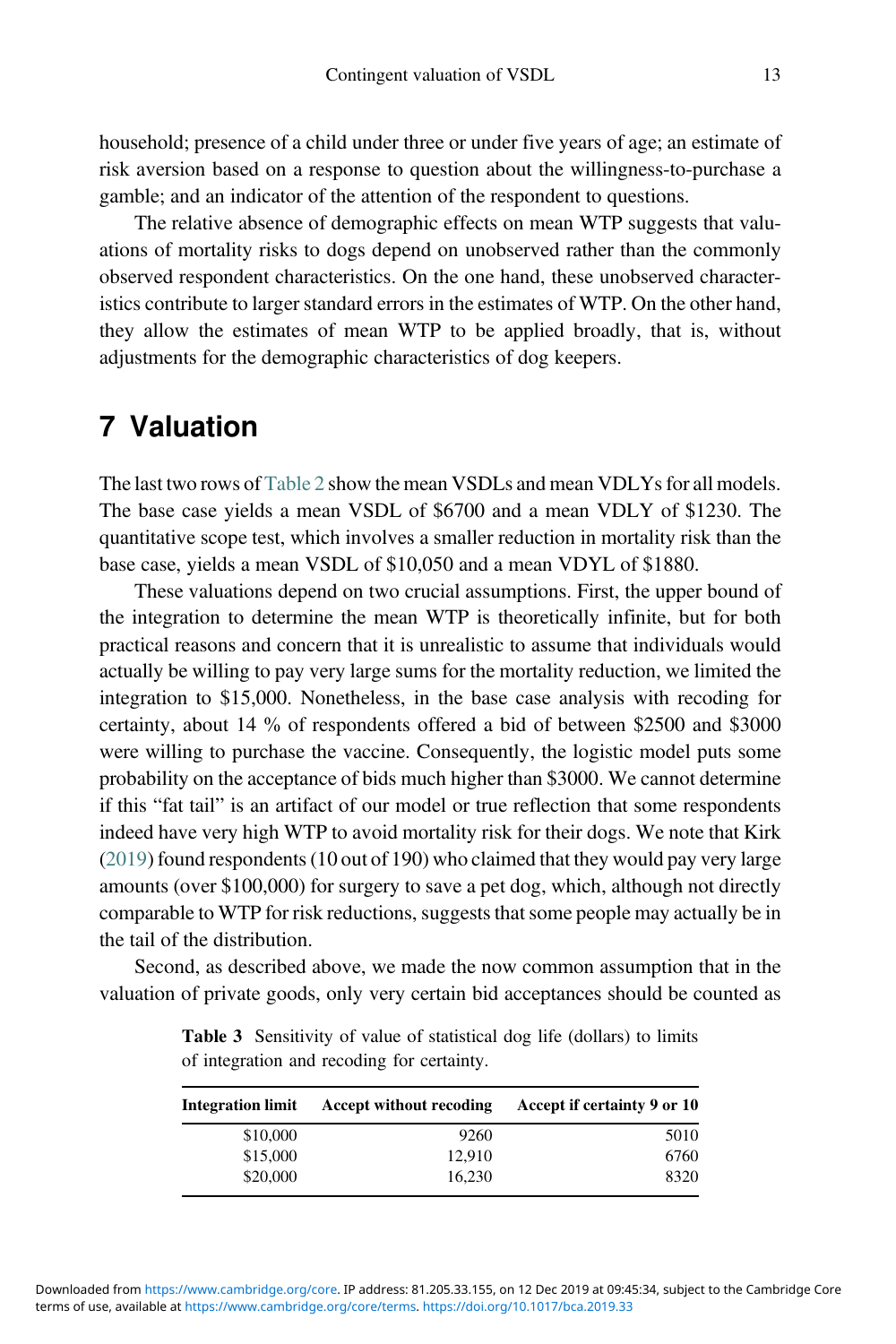household; presence of a child under three or under five years of age; an estimate of risk aversion based on a response to question about the willingness-to-purchase a gamble; and an indicator of the attention of the respondent to questions.

The relative absence of demographic effects on mean WTP suggests that valuations of mortality risks to dogs depend on unobserved rather than the commonly observed respondent characteristics. On the one hand, these unobserved characteristics contribute to larger standard errors in the estimates of WTP. On the other hand, they allow the estimates of mean WTP to be applied broadly, that is, without adjustments for the demographic characteristics of dog keepers.

## 7 Valuation

The last two rows of [Table 2](#page-10-0) show the mean VSDLs and mean VDLYs for all models. The base case yields a mean VSDL of \$6700 and a mean VDLY of \$1230. The quantitative scope test, which involves a smaller reduction in mortality risk than the base case, yields a mean VSDL of \$10,050 and a mean VDYL of \$1880.

These valuations depend on two crucial assumptions. First, the upper bound of the integration to determine the mean WTP is theoretically infinite, but for both practical reasons and concern that it is unrealistic to assume that individuals would actually be willing to pay very large sums for the mortality reduction, we limited the integration to \$15,000. Nonetheless, in the base case analysis with recoding for certainty, about 14 % of respondents offered a bid of between \$2500 and \$3000 were willing to purchase the vaccine. Consequently, the logistic model puts some probability on the acceptance of bids much higher than \$3000. We cannot determine if this "fat tail" is an artifact of our model or true reflection that some respondents indeed have very high WTP to avoid mortality risk for their dogs. We note that Kirk [\(2019\)](#page-18-1) found respondents (10 out of 190) who claimed that they would pay very large amounts (over \$100,000) for surgery to save a pet dog, which, although not directly comparable to WTP for risk reductions, suggests that some people may actually be in the tail of the distribution.

<span id="page-12-0"></span>Second, as described above, we made the now common assumption that in the valuation of private goods, only very certain bid acceptances should be counted as

| <b>Integration limit</b> | Accept without recoding | Accept if certainty 9 or 10 |
|--------------------------|-------------------------|-----------------------------|
| \$10,000                 | 9260                    | 5010                        |
| \$15,000                 | 12.910                  | 6760                        |
| \$20,000                 | 16.230                  | 8320                        |

Table 3 Sensitivity of value of statistical dog life (dollars) to limits of integration and recoding for certainty.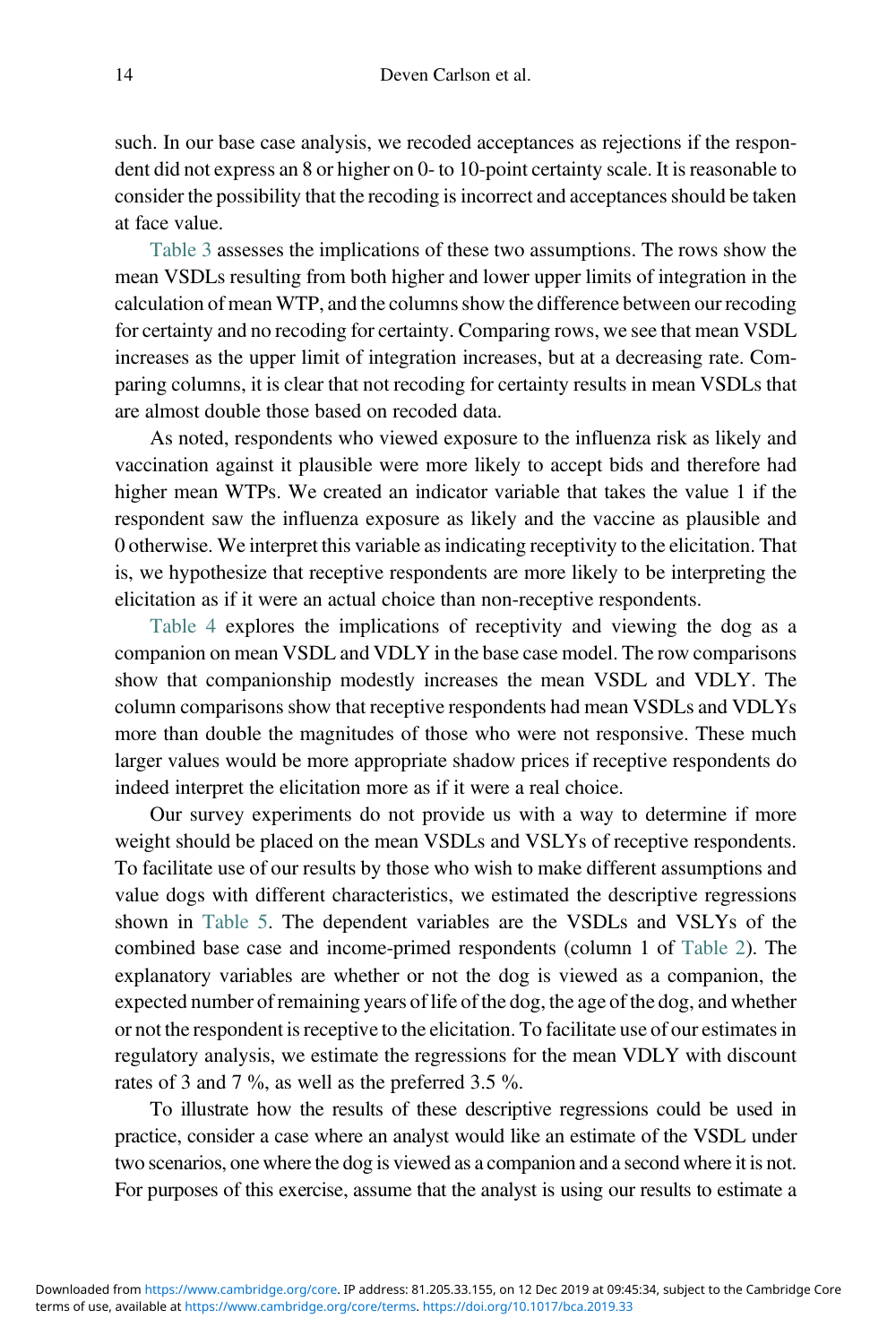such. In our base case analysis, we recoded acceptances as rejections if the respondent did not express an 8 or higher on 0- to 10-point certainty scale. It is reasonable to consider the possibility that the recoding is incorrect and acceptances should be taken at face value.

[Table 3](#page-12-0) assesses the implications of these two assumptions. The rows show the mean VSDLs resulting from both higher and lower upper limits of integration in the calculation of mean WTP, and the columns show the difference between our recoding for certainty and no recoding for certainty. Comparing rows, we see that mean VSDL increases as the upper limit of integration increases, but at a decreasing rate. Comparing columns, it is clear that not recoding for certainty results in mean VSDLs that are almost double those based on recoded data.

As noted, respondents who viewed exposure to the influenza risk as likely and vaccination against it plausible were more likely to accept bids and therefore had higher mean WTPs. We created an indicator variable that takes the value 1 if the respondent saw the influenza exposure as likely and the vaccine as plausible and 0 otherwise. We interpret this variable as indicating receptivity to the elicitation. That is, we hypothesize that receptive respondents are more likely to be interpreting the elicitation as if it were an actual choice than non-receptive respondents.

[Table 4](#page-14-0) explores the implications of receptivity and viewing the dog as a companion on mean VSDL and VDLY in the base case model. The row comparisons show that companionship modestly increases the mean VSDL and VDLY. The column comparisons show that receptive respondents had mean VSDLs and VDLYs more than double the magnitudes of those who were not responsive. These much larger values would be more appropriate shadow prices if receptive respondents do indeed interpret the elicitation more as if it were a real choice.

Our survey experiments do not provide us with a way to determine if more weight should be placed on the mean VSDLs and VSLYs of receptive respondents. To facilitate use of our results by those who wish to make different assumptions and value dogs with different characteristics, we estimated the descriptive regressions shown in [Table 5](#page-14-1). The dependent variables are the VSDLs and VSLYs of the combined base case and income-primed respondents (column 1 of [Table 2\)](#page-10-0). The explanatory variables are whether or not the dog is viewed as a companion, the expected number of remaining years of life of the dog, the age of the dog, and whether or not the respondent is receptive to the elicitation. To facilitate use of our estimates in regulatory analysis, we estimate the regressions for the mean VDLY with discount rates of 3 and 7 %, as well as the preferred 3.5 %.

To illustrate how the results of these descriptive regressions could be used in practice, consider a case where an analyst would like an estimate of the VSDL under two scenarios, one where the dog is viewed as a companion and a second where it is not. For purposes of this exercise, assume that the analyst is using our results to estimate a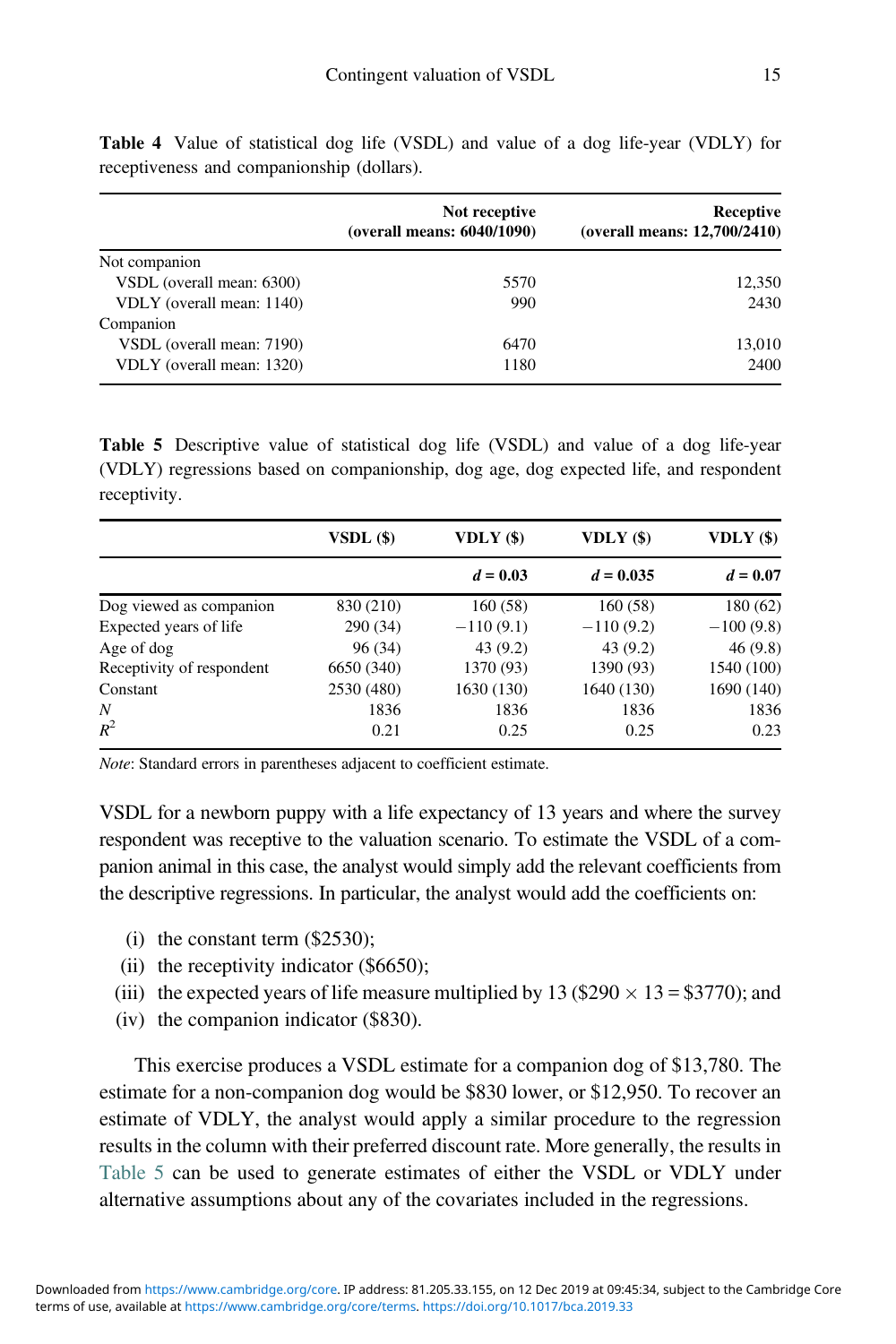|                           | Not receptive<br>(overall means: 6040/1090) | Receptive<br>(overall means: 12,700/2410) |
|---------------------------|---------------------------------------------|-------------------------------------------|
| Not companion             |                                             |                                           |
| VSDL (overall mean: 6300) | 5570                                        | 12.350                                    |
| VDLY (overall mean: 1140) | 990                                         | 2430                                      |
| Companion                 |                                             |                                           |
| VSDL (overall mean: 7190) | 6470                                        | 13,010                                    |
| VDLY (overall mean: 1320) | 1180                                        | 2400                                      |

<span id="page-14-0"></span>Table 4 Value of statistical dog life (VSDL) and value of a dog life-year (VDLY) for receptiveness and companionship (dollars).

<span id="page-14-1"></span>Table 5 Descriptive value of statistical dog life (VSDL) and value of a dog life-year (VDLY) regressions based on companionship, dog age, dog expected life, and respondent receptivity.

|                           | VSDL(\$)   | VDLY(\$)    | VDLY(\$)    | $VDLY$ (\$) |
|---------------------------|------------|-------------|-------------|-------------|
|                           |            | $d = 0.03$  | $d = 0.035$ | $d = 0.07$  |
| Dog viewed as companion   | 830 (210)  | 160(58)     | 160(58)     | 180 (62)    |
| Expected years of life    | 290 (34)   | $-110(9.1)$ | $-110(9.2)$ | $-100(9.8)$ |
| Age of dog                | 96(34)     | 43(9.2)     | 43(9.2)     | 46(9.8)     |
| Receptivity of respondent | 6650 (340) | 1370 (93)   | 1390 (93)   | 1540 (100)  |
| Constant                  | 2530 (480) | 1630 (130)  | 1640 (130)  | 1690 (140)  |
| N                         | 1836       | 1836        | 1836        | 1836        |
| $R^2$                     | 0.21       | 0.25        | 0.25        | 0.23        |

Note: Standard errors in parentheses adjacent to coefficient estimate.

VSDL for a newborn puppy with a life expectancy of 13 years and where the survey respondent was receptive to the valuation scenario. To estimate the VSDL of a companion animal in this case, the analyst would simply add the relevant coefficients from the descriptive regressions. In particular, the analyst would add the coefficients on:

- (i) the constant term  $(\$2530)$ ;
- (ii) the receptivity indicator (\$6650);
- (iii) the expected years of life measure multiplied by 13 (\$290  $\times$  13 = \$3770); and
- (iv) the companion indicator (\$830).

This exercise produces a VSDL estimate for a companion dog of \$13,780. The estimate for a non-companion dog would be \$830 lower, or \$12,950. To recover an estimate of VDLY, the analyst would apply a similar procedure to the regression results in the column with their preferred discount rate. More generally, the results in [Table 5](#page-14-1) can be used to generate estimates of either the VSDL or VDLY under alternative assumptions about any of the covariates included in the regressions.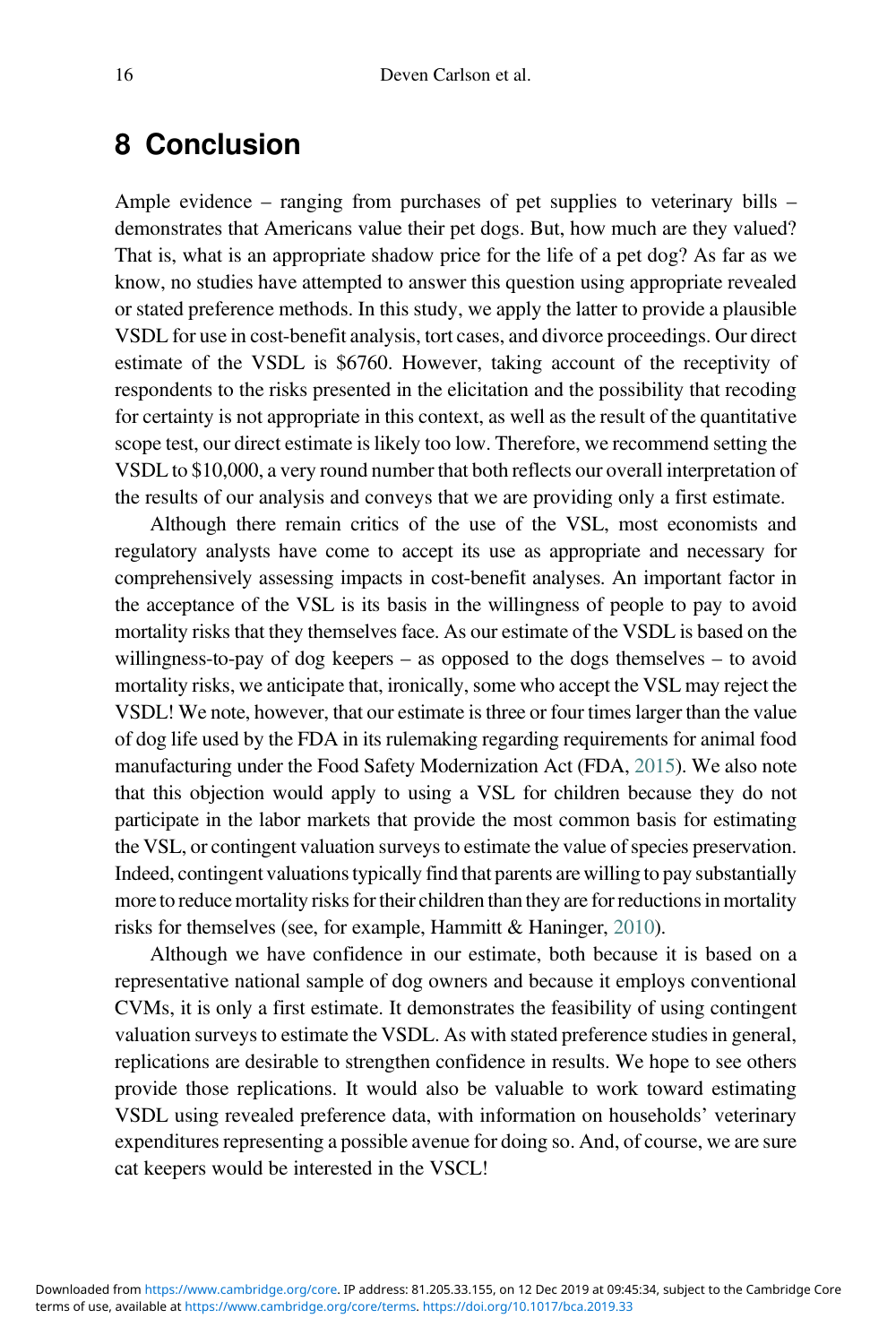## 8 Conclusion

Ample evidence – ranging from purchases of pet supplies to veterinary bills – demonstrates that Americans value their pet dogs. But, how much are they valued? That is, what is an appropriate shadow price for the life of a pet dog? As far as we know, no studies have attempted to answer this question using appropriate revealed or stated preference methods. In this study, we apply the latter to provide a plausible VSDL for use in cost-benefit analysis, tort cases, and divorce proceedings. Our direct estimate of the VSDL is \$6760. However, taking account of the receptivity of respondents to the risks presented in the elicitation and the possibility that recoding for certainty is not appropriate in this context, as well as the result of the quantitative scope test, our direct estimate is likely too low. Therefore, we recommend setting the VSDL to \$10,000, a very round number that both reflects our overall interpretation of the results of our analysis and conveys that we are providing only a first estimate.

Although there remain critics of the use of the VSL, most economists and regulatory analysts have come to accept its use as appropriate and necessary for comprehensively assessing impacts in cost-benefit analyses. An important factor in the acceptance of the VSL is its basis in the willingness of people to pay to avoid mortality risks that they themselves face. As our estimate of the VSDL is based on the willingness-to-pay of dog keepers – as opposed to the dogs themselves – to avoid mortality risks, we anticipate that, ironically, some who accept the VSL may reject the VSDL! We note, however, that our estimate is three or four times larger than the value of dog life used by the FDA in its rulemaking regarding requirements for animal food manufacturing under the Food Safety Modernization Act (FDA, [2015\)](#page-18-6). We also note that this objection would apply to using a VSL for children because they do not participate in the labor markets that provide the most common basis for estimating the VSL, or contingent valuation surveys to estimate the value of species preservation. Indeed, contingent valuations typically find that parents are willing to pay substantially more to reduce mortality risks for their children than they are for reductions in mortality risks for themselves (see, for example, Hammitt & Haninger, [2010](#page-18-15)).

Although we have confidence in our estimate, both because it is based on a representative national sample of dog owners and because it employs conventional CVMs, it is only a first estimate. It demonstrates the feasibility of using contingent valuation surveys to estimate the VSDL. As with stated preference studies in general, replications are desirable to strengthen confidence in results. We hope to see others provide those replications. It would also be valuable to work toward estimating VSDL using revealed preference data, with information on households' veterinary expenditures representing a possible avenue for doing so. And, of course, we are sure cat keepers would be interested in the VSCL!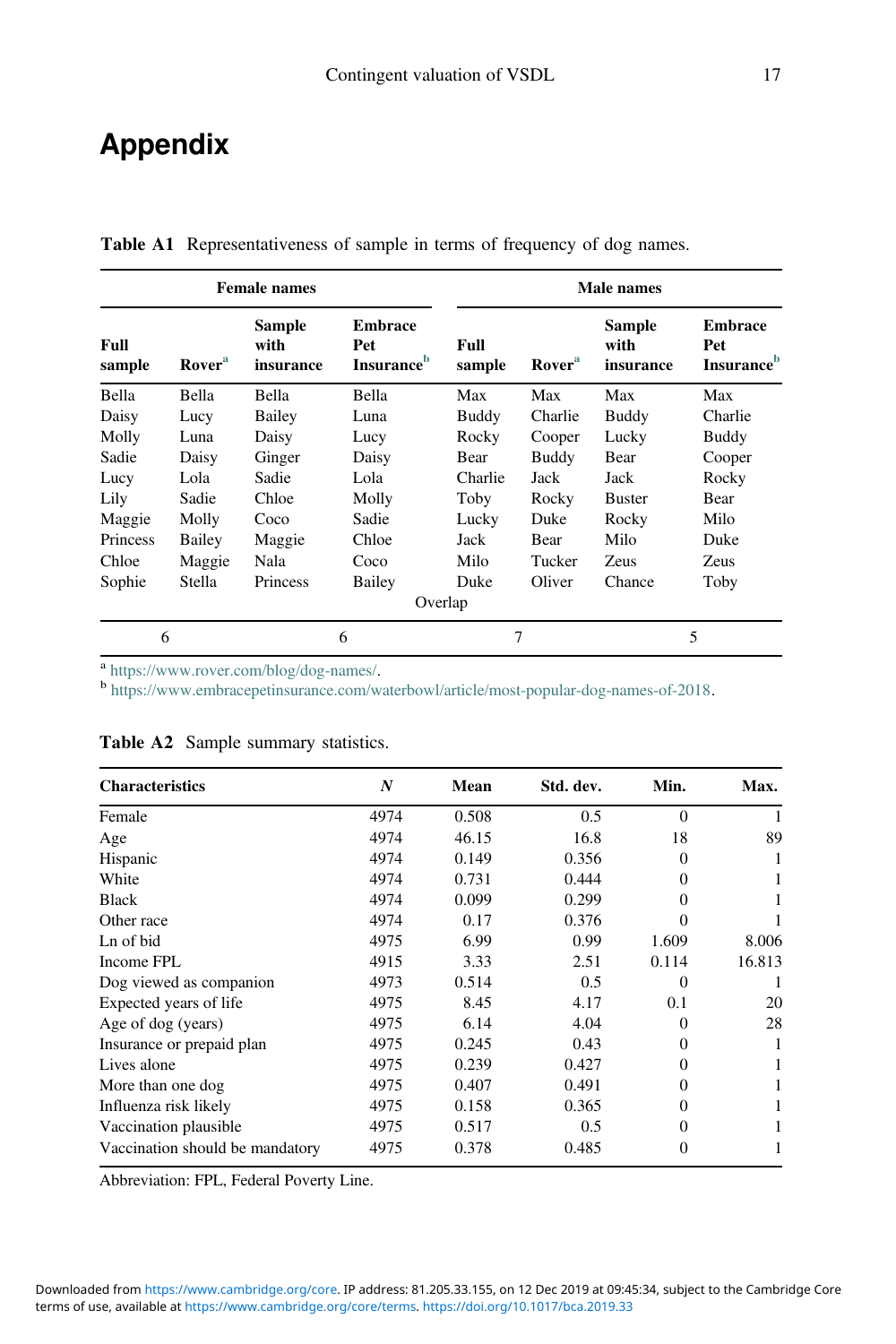## Appendix

| <b>Female names</b> |                           |                             | <b>Male</b> names                                      |                |                    |                             |                                                        |
|---------------------|---------------------------|-----------------------------|--------------------------------------------------------|----------------|--------------------|-----------------------------|--------------------------------------------------------|
| Full<br>sample      | <b>Rover</b> <sup>a</sup> | Sample<br>with<br>insurance | <b>Embrace</b><br>Pet<br><b>Insurance</b> <sup>b</sup> | Full<br>sample | Rover <sup>a</sup> | Sample<br>with<br>insurance | <b>Embrace</b><br>Pet<br><b>Insurance</b> <sup>b</sup> |
| <b>Bella</b>        | <b>Bella</b>              | Bella                       | <b>Bella</b>                                           | Max            | Max                | Max                         | Max                                                    |
| Daisy               | Lucy                      | Bailey                      | Luna                                                   | Buddy          | Charlie            | <b>Buddy</b>                | Charlie                                                |
| Molly               | Luna                      | Daisy                       | Lucy                                                   | Rocky          | Cooper             | Lucky                       | Buddy                                                  |
| Sadie               | Daisy                     | Ginger                      | Daisy                                                  | Bear           | <b>Buddy</b>       | Bear                        | Cooper                                                 |
| Lucy                | Lola                      | Sadie                       | Lola                                                   | Charlie        | Jack               | Jack                        | Rocky                                                  |
| Lily                | Sadie                     | Chloe                       | Molly                                                  | Toby           | Rocky              | <b>Buster</b>               | <b>Bear</b>                                            |
| Maggie              | Molly                     | Coco                        | Sadie                                                  | Lucky          | Duke               | Rocky                       | Milo                                                   |
| Princess            | Bailey                    | Maggie                      | Chloe                                                  | Jack           | Bear               | Milo                        | Duke                                                   |
| Chloe               | Maggie                    | Nala                        | Coco                                                   | Milo           | Tucker             | <b>Zeus</b>                 | <b>Zeus</b>                                            |
| Sophie              | Stella                    | Princess                    | Bailey                                                 | Duke           | Oliver             | Chance                      | Toby                                                   |
|                     |                           |                             |                                                        | Overlap        |                    |                             |                                                        |
| 6                   |                           |                             | 6                                                      |                | 7                  |                             | 5                                                      |

Table A1 Representativeness of sample in terms of frequency of dog names.

<span id="page-16-1"></span><span id="page-16-0"></span><sup>a</sup> [https://www.rover.com/blog/dog-names/.](https://www.rover.com/blog/dog-names/) <sup>b</sup> [https://www.embracepetinsurance.com/waterbowl/article/most-popular-dog-names-of-2018.](https://www.embracepetinsurance.com/waterbowl/article/most-popular-dog-names-of-2018)

| <b>Characteristics</b>          | $\boldsymbol{N}$ | Mean  | Std. dev. | Min.     | Max.   |
|---------------------------------|------------------|-------|-----------|----------|--------|
| Female                          | 4974             | 0.508 | 0.5       | $\Omega$ |        |
| Age                             | 4974             | 46.15 | 16.8      | 18       | 89     |
| Hispanic                        | 4974             | 0.149 | 0.356     | $\Omega$ |        |
| White                           | 4974             | 0.731 | 0.444     |          |        |
| <b>Black</b>                    | 4974             | 0.099 | 0.299     |          |        |
| Other race                      | 4974             | 0.17  | 0.376     |          |        |
| Ln of bid                       | 4975             | 6.99  | 0.99      | 1.609    | 8.006  |
| Income FPL                      | 4915             | 3.33  | 2.51      | 0.114    | 16.813 |
| Dog viewed as companion         | 4973             | 0.514 | 0.5       | $\Omega$ |        |
| Expected years of life          | 4975             | 8.45  | 4.17      | 0.1      | 20     |
| Age of dog (years)              | 4975             | 6.14  | 4.04      | 0        | 28     |
| Insurance or prepaid plan       | 4975             | 0.245 | 0.43      | 0        |        |
| Lives alone                     | 4975             | 0.239 | 0.427     | 0        |        |
| More than one dog               | 4975             | 0.407 | 0.491     | 0        |        |
| Influenza risk likely           | 4975             | 0.158 | 0.365     | 0        |        |
| Vaccination plausible           | 4975             | 0.517 | 0.5       |          |        |
| Vaccination should be mandatory | 4975             | 0.378 | 0.485     | $\Omega$ |        |

| <b>Table A2</b> Sample summary statistics. |  |  |  |
|--------------------------------------------|--|--|--|
|--------------------------------------------|--|--|--|

Abbreviation: FPL, Federal Poverty Line.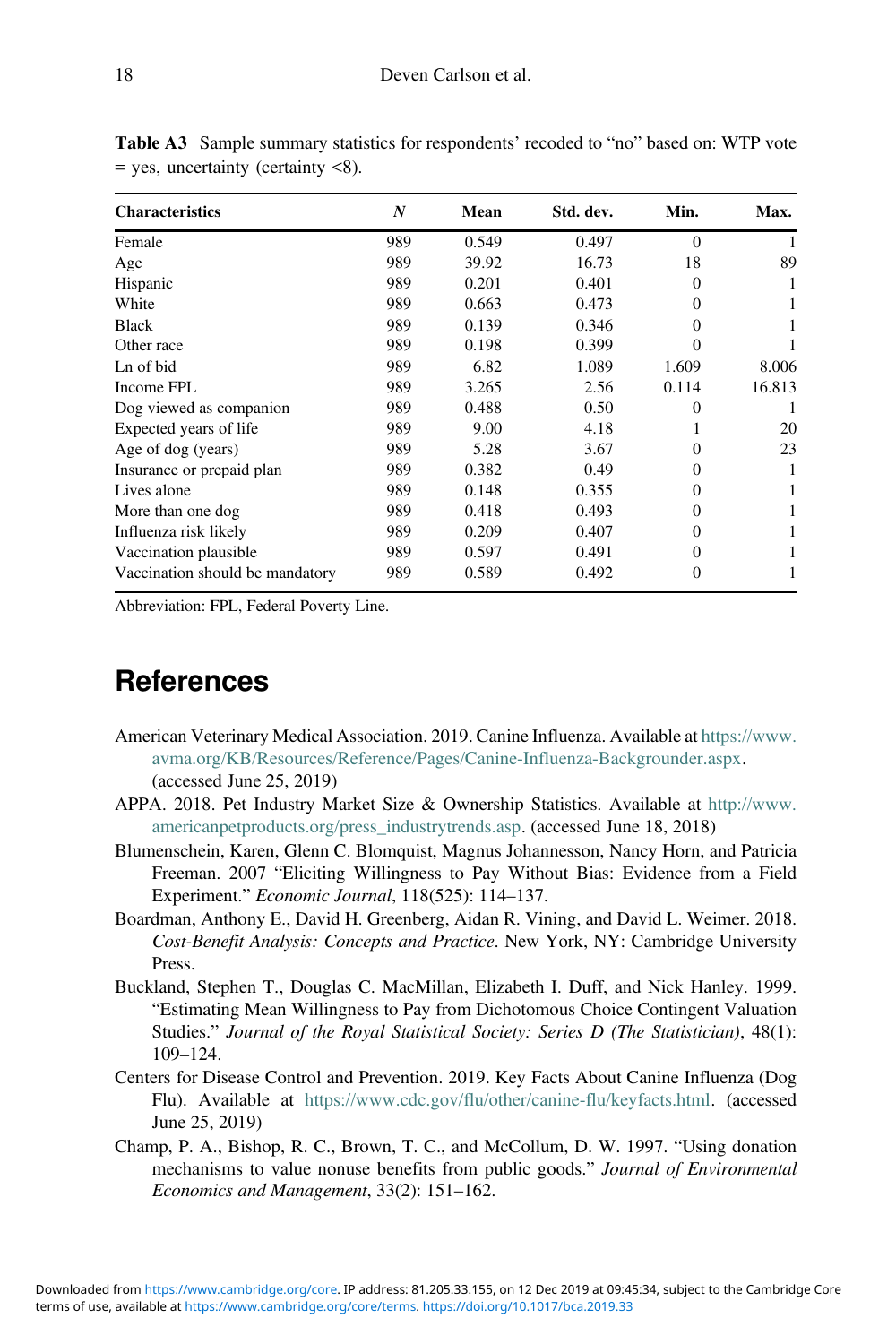| <b>Characteristics</b>          | N   | Mean  | Std. dev. | Min.     | Max.   |
|---------------------------------|-----|-------|-----------|----------|--------|
| Female                          | 989 | 0.549 | 0.497     | $\Omega$ |        |
| Age                             | 989 | 39.92 | 16.73     | 18       | 89     |
| Hispanic                        | 989 | 0.201 | 0.401     | $\Omega$ |        |
| White                           | 989 | 0.663 | 0.473     | $\Omega$ |        |
| <b>Black</b>                    | 989 | 0.139 | 0.346     | $\Omega$ |        |
| Other race                      | 989 | 0.198 | 0.399     | 0        |        |
| Ln of bid                       | 989 | 6.82  | 1.089     | 1.609    | 8.006  |
| Income FPL                      | 989 | 3.265 | 2.56      | 0.114    | 16.813 |
| Dog viewed as companion         | 989 | 0.488 | 0.50      | $\Omega$ |        |
| Expected years of life          | 989 | 9.00  | 4.18      |          | 20     |
| Age of dog (years)              | 989 | 5.28  | 3.67      | $\Omega$ | 23     |
| Insurance or prepaid plan       | 989 | 0.382 | 0.49      | $\Omega$ | 1      |
| Lives alone                     | 989 | 0.148 | 0.355     | 0        |        |
| More than one dog               | 989 | 0.418 | 0.493     | 0        |        |
| Influenza risk likely           | 989 | 0.209 | 0.407     | 0        |        |
| Vaccination plausible           | 989 | 0.597 | 0.491     | $\Omega$ |        |
| Vaccination should be mandatory | 989 | 0.589 | 0.492     | $\Omega$ |        |

Table A3 Sample summary statistics for respondents' recoded to "no" based on: WTP vote  $=$  yes, uncertainty (certainty  $\langle 8 \rangle$ ).

Abbreviation: FPL, Federal Poverty Line.

#### References

- <span id="page-17-2"></span>American Veterinary Medical Association. 2019. Canine Influenza. Available at [https://www.](https://www.avma.org/KB/Resources/Reference/Pages/Canine-Influenza-Backgrounder.aspx) [avma.org/KB/Resources/Reference/Pages/Canine-Influenza-Backgrounder.aspx.](https://www.avma.org/KB/Resources/Reference/Pages/Canine-Influenza-Backgrounder.aspx) (accessed June 25, 2019)
- <span id="page-17-0"></span>APPA. 2018. Pet Industry Market Size & Ownership Statistics. Available at [http://www.](http://www.americanpetproducts.org/press_industrytrends.asp) [americanpetproducts.org/press\\_industrytrends.asp](http://www.americanpetproducts.org/press_industrytrends.asp). (accessed June 18, 2018)
- <span id="page-17-4"></span>Blumenschein, Karen, Glenn C. Blomquist, Magnus Johannesson, Nancy Horn, and Patricia Freeman. 2007 "Eliciting Willingness to Pay Without Bias: Evidence from a Field Experiment." Economic Journal, 118(525): 114–137.
- <span id="page-17-6"></span>Boardman, Anthony E., David H. Greenberg, Aidan R. Vining, and David L. Weimer. 2018. Cost-Benefit Analysis: Concepts and Practice. New York, NY: Cambridge University Press.
- <span id="page-17-5"></span>Buckland, Stephen T., Douglas C. MacMillan, Elizabeth I. Duff, and Nick Hanley. 1999. "Estimating Mean Willingness to Pay from Dichotomous Choice Contingent Valuation Studies." Journal of the Royal Statistical Society: Series D (The Statistician), 48(1): 109–124.
- <span id="page-17-1"></span>Centers for Disease Control and Prevention. 2019. Key Facts About Canine Influenza (Dog Flu). Available at [https://www.cdc.gov/flu/other/canine-flu/keyfacts.html.](https://www.cdc.gov/flu/other/canine-flu/keyfacts.html) (accessed June 25, 2019)
- <span id="page-17-3"></span>Champ, P. A., Bishop, R. C., Brown, T. C., and McCollum, D. W. 1997. "Using donation mechanisms to value nonuse benefits from public goods." Journal of Environmental Economics and Management, 33(2): 151–162.